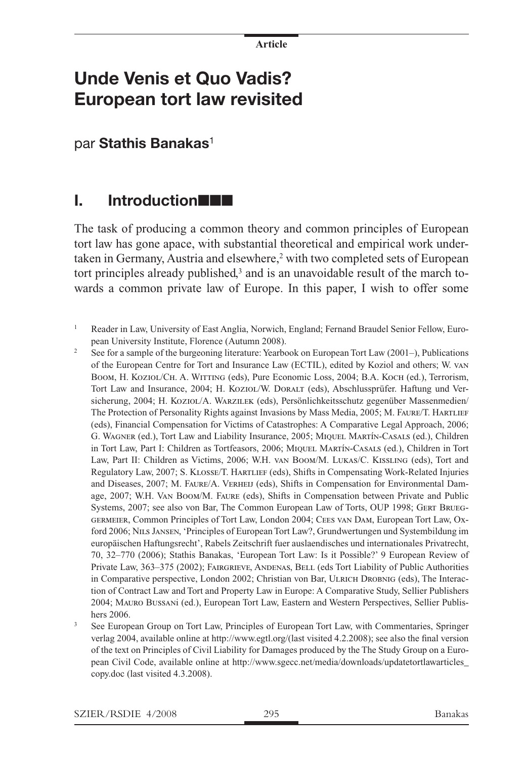# **Unde Venis et Quo Vadis? European tort law revisited**

par **Stathis Banakas**<sup>1</sup>

### **I.** Introduction**nn**

The task of producing a common theory and common principles of European tort law has gone apace, with substantial theoretical and empirical work undertaken in Germany, Austria and elsewhere,<sup>2</sup> with two completed sets of European tort principles already published,<sup>3</sup> and is an unavoidable result of the march towards a common private law of Europe. In this paper, I wish to offer some

- <sup>1</sup> Reader in Law, University of East Anglia, Norwich, England; Fernand Braudel Senior Fellow, European University Institute, Florence (Autumn 2008).
- <sup>2</sup> See for a sample of the burgeoning literature: Yearbook on European Tort Law (2001–), Publications of the European Centre for Tort and Insurance Law (ECTIL), edited by Koziol and others; W. van Boom, H. Koziol/Ch. A. WITTING (eds), Pure Economic Loss, 2004; B.A. Koch (ed.), Terrorism, Tort Law and Insurance, 2004; H. Koziol/W. Doralt (eds), Abschlussprüfer. Haftung und Versicherung, 2004; H. Koziol/A. Warzilek (eds), Persönlichkeitsschutz gegenüber Massenmedien/ The Protection of Personality Rights against Invasions by Mass Media, 2005; M. FAURE/T. HARTLIEF (eds), Financial Compensation for Victims of Catastrophes: A Comparative Legal Approach, 2006; G. Wagner (ed.), Tort Law and Liability Insurance, 2005; Miquel Martín-Casals (ed.), Children in Tort Law, Part I: Children as Tortfeasors, 2006; Miquel Martín-Casals (ed.), Children in Tort Law, Part II: Children as Victims, 2006; W.H. van Boom/M. Lukas/C. Kissling (eds), Tort and Regulatory Law, 2007; S. Klosse/T. Hartlief (eds), Shifts in Compensating Work-Related Injuries and Diseases, 2007; M. Faure/A. Verheij (eds), Shifts in Compensation for Environmental Damage, 2007; W.H. Van Boom/M. Faure (eds), Shifts in Compensation between Private and Public Systems, 2007; see also von Bar, The Common European Law of Torts, OUP 1998; Gert Brueggermeier, Common Principles of Tort Law, London 2004; Cees van Dam, European Tort Law, Oxford 2006; Nils Jansen, 'Principles of European Tort Law?, Grundwertungen und Systembildung im europäischen Haftungsrecht', Rabels Zeitschrift fuer auslaendisches und internationales Privatrecht, 70, 32–770 (2006); Stathis Banakas, 'European Tort Law: Is it Possible?' 9 European Review of Private Law, 363–375 (2002); FAIRGRIEVE, ANDENAS, BELL (eds Tort Liability of Public Authorities in Comparative perspective, London 2002; Christian von Bar, ULRICH DROBNIG (eds), The Interaction of Contract Law and Tort and Property Law in Europe: A Comparative Study, Sellier Publishers 2004; Mauro Bussani (ed.), European Tort Law, Eastern and Western Perspectives, Sellier Publishers 2006.
- See European Group on Tort Law, Principles of European Tort Law, with Commentaries, Springer verlag 2004, available online at http://www.egtl.org/(last visited 4.2.2008); see also the final version of the text on Principles of Civil Liability for Damages produced by the The Study Group on a European Civil Code, available online at http://www.sgecc.net/media/downloads/updatetortlawarticles\_ copy.doc (last visited 4.3.2008).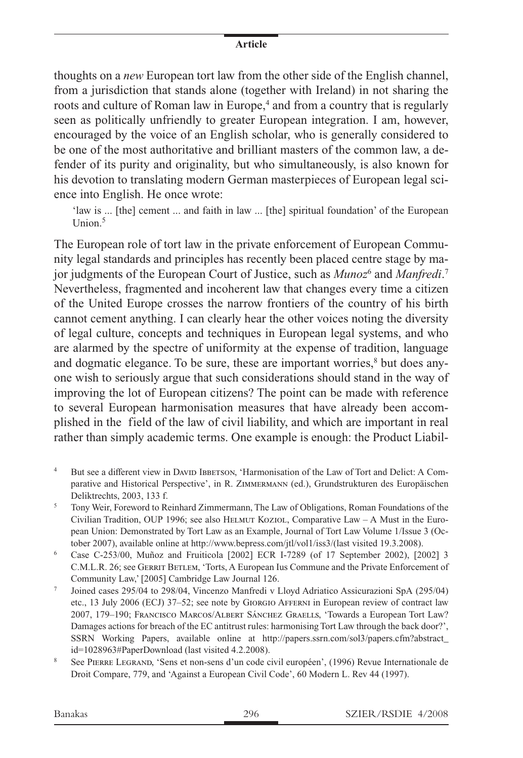thoughts on a *new* European tort law from the other side of the English channel, from a jurisdiction that stands alone (together with Ireland) in not sharing the roots and culture of Roman law in Europe,<sup>4</sup> and from a country that is regularly seen as politically unfriendly to greater European integration. I am, however, encouraged by the voice of an English scholar, who is generally considered to be one of the most authoritative and brilliant masters of the common law, a defender of its purity and originality, but who simultaneously, is also known for his devotion to translating modern German masterpieces of European legal science into English. He once wrote:

'law is ... [the] cement ... and faith in law ... [the] spiritual foundation' of the European  $Union<sup>5</sup>$ 

The European role of tort law in the private enforcement of European Community legal standards and principles has recently been placed centre stage by major judgments of the European Court of Justice, such as *Munoz*<sup>6</sup> and *Manfredi*.<sup>7</sup> Nevertheless, fragmented and incoherent law that changes every time a citizen of the United Europe crosses the narrow frontiers of the country of his birth cannot cement anything. I can clearly hear the other voices noting the diversity of legal culture, concepts and techniques in European legal systems, and who are alarmed by the spectre of uniformity at the expense of tradition, language and dogmatic elegance. To be sure, these are important worries,<sup>8</sup> but does anyone wish to seriously argue that such considerations should stand in the way of improving the lot of European citizens? The point can be made with reference to several European harmonisation measures that have already been accomplished in the field of the law of civil liability, and which are important in real rather than simply academic terms. One example is enough: the Product Liabil-

- <sup>4</sup> But see a different view in DAVID IBBETSON, 'Harmonisation of the Law of Tort and Delict: A Comparative and Historical Perspective', in R. Zimmermann (ed.), Grundstrukturen des Europäischen Deliktrechts, 2003, 133 f.
- <sup>5</sup> Tony Weir, Foreword to Reinhard Zimmermann, The Law of Obligations, Roman Foundations of the Civilian Tradition, OUP 1996; see also HELMUT KOZIOL, Comparative Law - A Must in the European Union: Demonstrated by Tort Law as an Example, Journal of Tort Law Volume 1/Issue 3 (October 2007), available online at http://www.bepress.com/jtl/vol1/iss3/(last visited 19.3.2008).
- <sup>6</sup> Case C-253/00, Muñoz and Fruiticola [2002] ECR I-7289 (of 17 September 2002), [2002] 3 C.M.L.R. 26; see GERRIT BETLEM, 'Torts, A European Ius Commune and the Private Enforcement of Community Law,' [2005] Cambridge Law Journal 126.
- <sup>7</sup> Joined cases 295/04 to 298/04, Vincenzo Manfredi v Lloyd Adriatico Assicurazioni SpA (295/04) etc., 13 July 2006 (ECJ) 37–52; see note by Giorgio Afferni in European review of contract law 2007, 179–190; Francisco Marcos/Albert Sánchez Graells, 'Towards a European Tort Law? Damages actions for breach of the EC antitrust rules: harmonising Tort Law through the back door?', SSRN Working Papers, available online at http://papers.ssrn.com/sol3/papers.cfm?abstract\_ id=1028963#PaperDownload (last visited 4.2.2008).
- <sup>8</sup> See Pierre Legrand, 'Sens et non-sens d'un code civil européen', (1996) Revue Internationale de Droit Compare, 779, and 'Against a European Civil Code', 60 Modern L. Rev 44 (1997).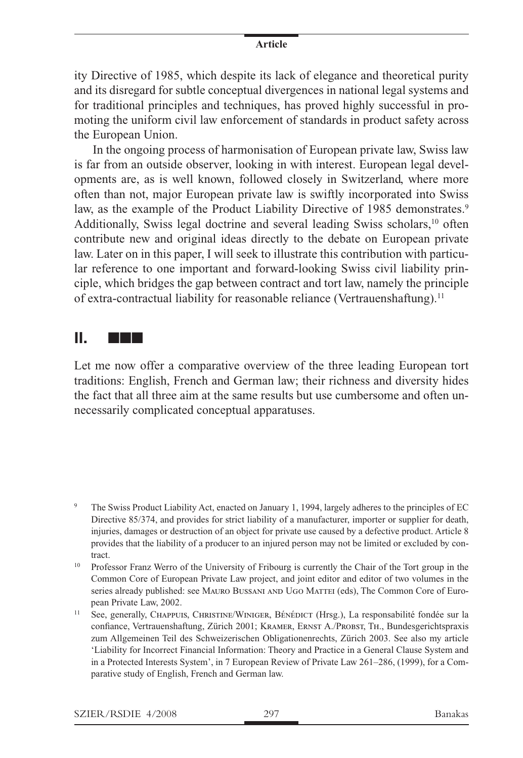ity Directive of 1985, which despite its lack of elegance and theoretical purity and its disregard for subtle conceptual divergences in national legal systems and for traditional principles and techniques, has proved highly successful in promoting the uniform civil law enforcement of standards in product safety across the European Union.

In the ongoing process of harmonisation of European private law, Swiss law is far from an outside observer, looking in with interest. European legal developments are, as is well known, followed closely in Switzerland, where more often than not, major European private law is swiftly incorporated into Swiss law, as the example of the Product Liability Directive of 1985 demonstrates.<sup>9</sup> Additionally, Swiss legal doctrine and several leading Swiss scholars,<sup>10</sup> often contribute new and original ideas directly to the debate on European private law. Later on in this paper, I will seek to illustrate this contribution with particular reference to one important and forward-looking Swiss civil liability principle, which bridges the gap between contract and tort law, namely the principle of extra-contractual liability for reasonable reliance (Vertrauenshaftung).<sup>11</sup>

## **II.** nnn

Let me now offer a comparative overview of the three leading European tort traditions: English, French and German law; their richness and diversity hides the fact that all three aim at the same results but use cumbersome and often unnecessarily complicated conceptual apparatuses.

- <sup>9</sup> The Swiss Product Liability Act, enacted on January 1, 1994, largely adheres to the principles of EC Directive 85/374, and provides for strict liability of a manufacturer, importer or supplier for death, injuries, damages or destruction of an object for private use caused by a defective product. Article 8 provides that the liability of a producer to an injured person may not be limited or excluded by contract.
- <sup>10</sup> Professor Franz Werro of the University of Fribourg is currently the Chair of the Tort group in the Common Core of European Private Law project, and joint editor and editor of two volumes in the series already published: see MAURO BUSSANI AND UGO MATTEI (eds), The Common Core of European Private Law, 2002.
- <sup>11</sup> See, generally, CHAPPUIS, CHRISTINE/WINIGER, BÉNÉDICT (Hrsg.), La responsabilité fondée sur la confiance, Vertrauenshaftung, Zürich 2001; Kramer, Ernst A./Probst, Th., Bundesgerichtspraxis zum Allgemeinen Teil des Schweizerischen Obligationenrechts, Zürich 2003. See also my article 'Liability for Incorrect Financial Information: Theory and Practice in a General Clause System and in a Protected Interests System', in 7 European Review of Private Law 261–286, (1999), for a Comparative study of English, French and German law.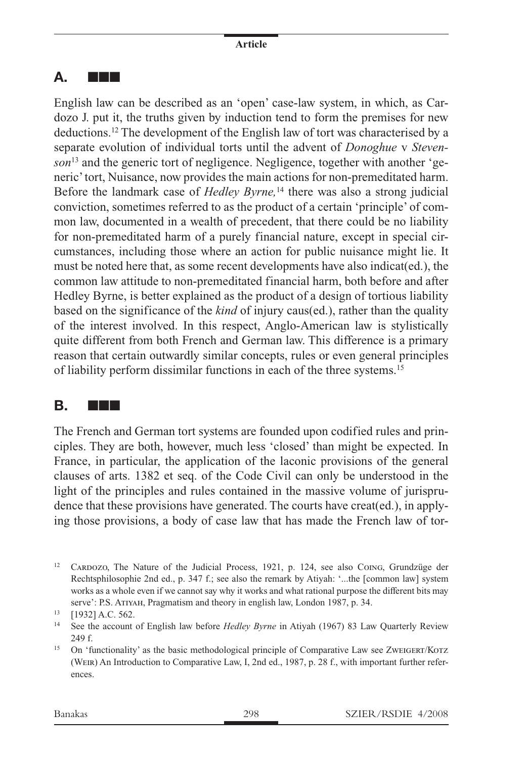### **A.** nnn

English law can be described as an 'open' case-law system, in which, as Cardozo J. put it, the truths given by induction tend to form the premises for new deductions.12 The development of the English law of tort was characterised by a separate evolution of individual torts until the advent of *Donoghue* v *Stevenson*13 and the generic tort of negligence. Negligence, together with another 'generic' tort, Nuisance, now provides the main actions for non-premeditated harm. Before the landmark case of *Hedley Byrne,*14 there was also a strong judicial conviction, sometimes referred to as the product of a certain 'principle' of common law, documented in a wealth of precedent, that there could be no liability for non-premeditated harm of a purely financial nature, except in special circumstances, including those where an action for public nuisance might lie. It must be noted here that, as some recent developments have also indicat(ed.), the common law attitude to non-premeditated financial harm, both before and after Hedley Byrne, is better explained as the product of a design of tortious liability based on the significance of the *kind* of injury caus(ed.), rather than the quality of the interest involved. In this respect, Anglo-American law is stylistically quite different from both French and German law. This difference is a primary reason that certain outwardly similar concepts, rules or even general principles of liability perform dissimilar functions in each of the three systems.15

### **B. NNN**

The French and German tort systems are founded upon codified rules and principles. They are both, however, much less 'closed' than might be expected. In France, in particular, the application of the laconic provisions of the general clauses of arts. 1382 et seq. of the Code Civil can only be understood in the light of the principles and rules contained in the massive volume of jurisprudence that these provisions have generated. The courts have creat(ed.), in applying those provisions, a body of case law that has made the French law of tor-

<sup>&</sup>lt;sup>12</sup> CARDOZO, The Nature of the Judicial Process, 1921, p. 124, see also COING, Grundzüge der Rechtsphilosophie 2nd ed., p. 347 f.; see also the remark by Atiyah: '...the [common law] system works as a whole even if we cannot say why it works and what rational purpose the different bits may serve': P.S. Atiyah, Pragmatism and theory in english law, London 1987, p. 34.

<sup>13</sup> [1932] A.C. 562.

<sup>14</sup> See the account of English law before *Hedley Byrne* in Atiyah (1967) 83 Law Quarterly Review 249 f.

<sup>&</sup>lt;sup>15</sup> On 'functionality' as the basic methodological principle of Comparative Law see ZwEIGERT/KOTZ (Weir) An Introduction to Comparative Law, I, 2nd ed., 1987, p. 28 f., with important further references.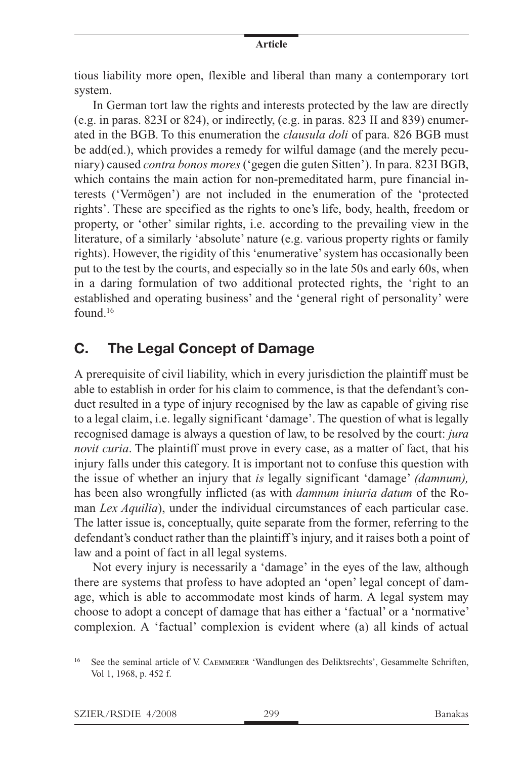tious liability more open, flexible and liberal than many a contemporary tort system.

In German tort law the rights and interests protected by the law are directly (e.g. in paras. 823I or 824), or indirectly, (e.g. in paras. 823 II and 839) enumerated in the BGB. To this enumeration the *clausula doli* of para. 826 BGB must be add(ed.), which provides a remedy for wilful damage (and the merely pecuniary) caused *contra bonos mores* ('gegen die guten Sitten'). In para. 823I BGB, which contains the main action for non-premeditated harm, pure financial interests ('Vermögen') are not included in the enumeration of the 'protected rights'. These are specified as the rights to one's life, body, health, freedom or property, or 'other' similar rights, i.e. according to the prevailing view in the literature, of a similarly 'absolute' nature (e.g. various property rights or family rights). However, the rigidity of this 'enumerative' system has occasionally been put to the test by the courts, and especially so in the late 50s and early 60s, when in a daring formulation of two additional protected rights, the 'right to an established and operating business' and the 'general right of personality' were found.16

### **C. The Legal Concept of Damage**

A prerequisite of civil liability, which in every jurisdiction the plaintiff must be able to establish in order for his claim to commence, is that the defendant's conduct resulted in a type of injury recognised by the law as capable of giving rise to a legal claim, i.e. legally significant 'damage'. The question of what is legally recognised damage is always a question of law, to be resolved by the court: *jura novit curia*. The plaintiff must prove in every case, as a matter of fact, that his injury falls under this category. It is important not to confuse this question with the issue of whether an injury that *is* legally significant 'damage' *(damnum),* has been also wrongfully inflicted (as with *damnum iniuria datum* of the Roman *Lex Aquilia*), under the individual circumstances of each particular case. The latter issue is, conceptually, quite separate from the former, referring to the defendant's conduct rather than the plaintiff's injury, and it raises both a point of law and a point of fact in all legal systems.

Not every injury is necessarily a 'damage' in the eyes of the law, although there are systems that profess to have adopted an 'open' legal concept of damage, which is able to accommodate most kinds of harm. A legal system may choose to adopt a concept of damage that has either a 'factual' or a 'normative' complexion. A 'factual' complexion is evident where (a) all kinds of actual

<sup>&</sup>lt;sup>16</sup> See the seminal article of V. CAEMMERER 'Wandlungen des Deliktsrechts', Gesammelte Schriften, Vol 1, 1968, p. 452 f.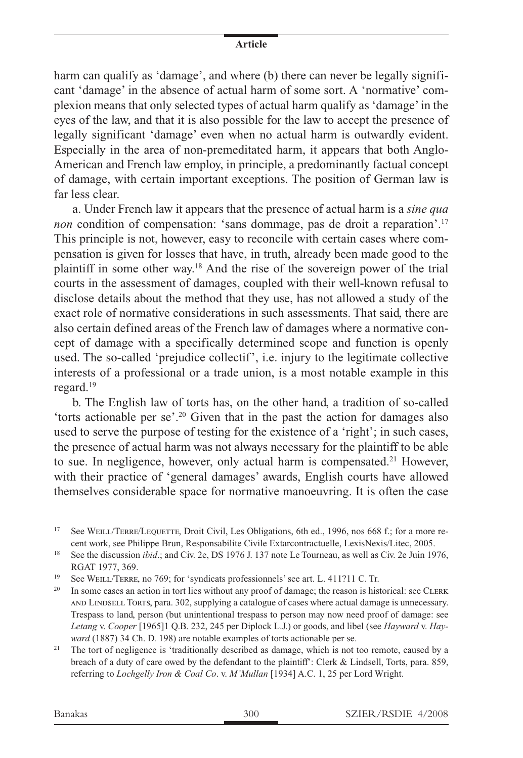harm can qualify as 'damage', and where (b) there can never be legally significant 'damage' in the absence of actual harm of some sort. A 'normative' complexion means that only selected types of actual harm qualify as 'damage' in the eyes of the law, and that it is also possible for the law to accept the presence of legally significant 'damage' even when no actual harm is outwardly evident. Especially in the area of non-premeditated harm, it appears that both Anglo-American and French law employ, in principle, a predominantly factual concept of damage, with certain important exceptions. The position of German law is far less clear.

a. Under French law it appears that the presence of actual harm is a *sine qua non* condition of compensation: 'sans dommage, pas de droit a reparation'.<sup>17</sup> This principle is not, however, easy to reconcile with certain cases where compensation is given for losses that have, in truth, already been made good to the plaintiff in some other way.18 And the rise of the sovereign power of the trial courts in the assessment of damages, coupled with their well-known refusal to disclose details about the method that they use, has not allowed a study of the exact role of normative considerations in such assessments. That said, there are also certain defined areas of the French law of damages where a normative concept of damage with a specifically determined scope and function is openly used. The so-called 'prejudice collectif', i.e. injury to the legitimate collective interests of a professional or a trade union, is a most notable example in this regard.19

b. The English law of torts has, on the other hand, a tradition of so-called 'torts actionable per se'.20 Given that in the past the action for damages also used to serve the purpose of testing for the existence of a 'right'; in such cases, the presence of actual harm was not always necessary for the plaintiff to be able to sue. In negligence, however, only actual harm is compensated.<sup>21</sup> However, with their practice of 'general damages' awards, English courts have allowed themselves considerable space for normative manoeuvring. It is often the case

<sup>17</sup> See WEILL/TERRE/LEQUETTE, Droit Civil, Les Obligations, 6th ed., 1996, nos 668 f.; for a more recent work, see Philippe Brun, Responsabilite Civile Extarcontractuelle, LexisNexis/Litec, 2005.

<sup>18</sup> See the discussion *ibid*.; and Civ. 2e, DS 1976 J. 137 note Le Tourneau, as well as Civ. 2e Juin 1976, RGAT 1977, 369.

<sup>19</sup> See WEILL/TERRE, no 769; for 'syndicats professionnels' see art. L. 411?11 C. Tr.

<sup>20</sup> In some cases an action in tort lies without any proof of damage; the reason is historical: see CLERK and Lindsell Torts, para. 302, supplying a catalogue of cases where actual damage is unnecessary. Trespass to land, person (but unintentional trespass to person may now need proof of damage: see *Letang* v. *Cooper* [1965]1 Q.B. 232, 245 per Diplock L.J.) or goods, and libel (see *Hayward* v. *Hayward* (1887) 34 Ch. D. 198) are notable examples of torts actionable per se.

<sup>21</sup> The tort of negligence is 'traditionally described as damage, which is not too remote, caused by a breach of a duty of care owed by the defendant to the plaintiff': Clerk & Lindsell, Torts, para. 859, referring to *Lochgelly Iron & Coal Co*. v. *M'Mullan* [1934] A.C. 1, 25 per Lord Wright.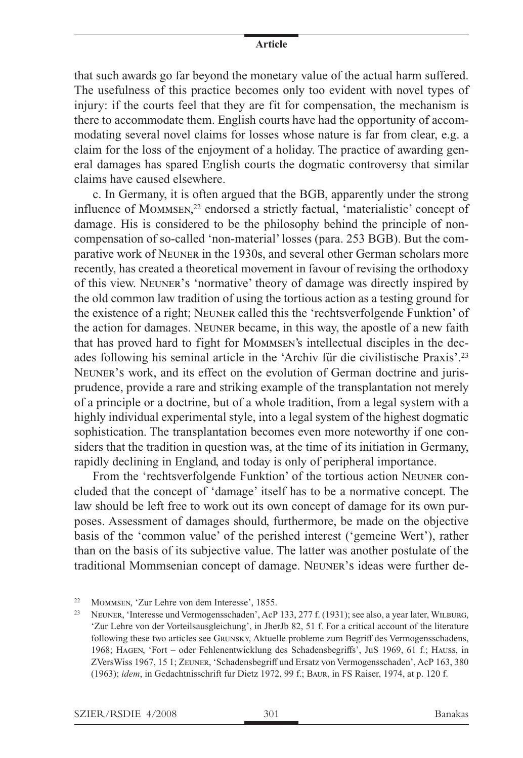that such awards go far beyond the monetary value of the actual harm suffered. The usefulness of this practice becomes only too evident with novel types of injury: if the courts feel that they are fit for compensation, the mechanism is there to accommodate them. English courts have had the opportunity of accommodating several novel claims for losses whose nature is far from clear, e.g. a claim for the loss of the enjoyment of a holiday. The practice of awarding general damages has spared English courts the dogmatic controversy that similar claims have caused elsewhere.

c. In Germany, it is often argued that the BGB, apparently under the strong influence of Mommsen, 22 endorsed a strictly factual, 'materialistic' concept of damage. His is considered to be the philosophy behind the principle of noncompensation of so-called 'non-material' losses (para. 253 BGB). But the comparative work of Neuner in the 1930s, and several other German scholars more recently, has created a theoretical movement in favour of revising the orthodoxy of this view. Neuner's 'normative' theory of damage was directly inspired by the old common law tradition of using the tortious action as a testing ground for the existence of a right; Neuner called this the 'rechtsverfolgende Funktion' of the action for damages. Neuner became, in this way, the apostle of a new faith that has proved hard to fight for Mommsen's intellectual disciples in the decades following his seminal article in the 'Archiv für die civilistische Praxis'.23 Neuner's work, and its effect on the evolution of German doctrine and jurisprudence, provide a rare and striking example of the transplantation not merely of a principle or a doctrine, but of a whole tradition, from a legal system with a highly individual experimental style, into a legal system of the highest dogmatic sophistication. The transplantation becomes even more noteworthy if one considers that the tradition in question was, at the time of its initiation in Germany, rapidly declining in England, and today is only of peripheral importance.

From the 'rechtsverfolgende Funktion' of the tortious action Neuner concluded that the concept of 'damage' itself has to be a normative concept. The law should be left free to work out its own concept of damage for its own purposes. Assessment of damages should, furthermore, be made on the objective basis of the 'common value' of the perished interest ('gemeine Wert'), rather than on the basis of its subjective value. The latter was another postulate of the traditional Mommsenian concept of damage. Neuner's ideas were further de-

<sup>22</sup> MOMMSEN, 'Zur Lehre von dem Interesse', 1855.<br>
NEUPER 'Interesse und Vermogenschaden'. Ao B

<sup>23</sup> Neuner, 'Interesse und Vermogensschaden', AcP 133, 277 f. (1931); see also, a year later, Wilburg, 'Zur Lehre von der Vorteilsausgleichung', in JherJb 82, 51 f. For a critical account of the literature following these two articles see Grunsky, Aktuelle probleme zum Begriff des Vermogensschadens, 1968; Hagen, 'Fort – oder Fehlenentwicklung des Schadensbegriffs', JuS 1969, 61 f.; Hauss, in ZVersWiss 1967, 15 1; Zeuner, 'Schadensbegriff und Ersatz von Vermogensschaden', AcP 163, 380 (1963); *idem*, in Gedachtnisschrift fur Dietz 1972, 99 f.; Baur, in FS Raiser, 1974, at p. 120 f.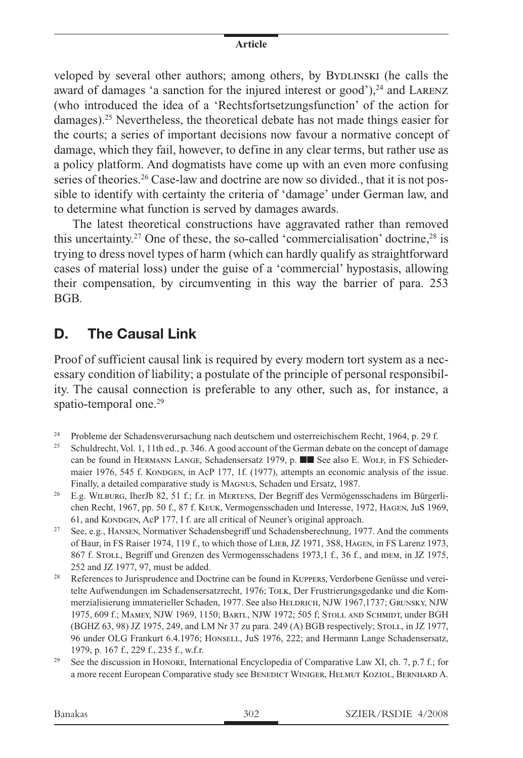veloped by several other authors; among others, by BYDLINSKI (he calls the award of damages 'a sanction for the injured interest or good'), $^{24}$  and LARENZ (who introduced the idea of a 'Rechtsfortsetzungsfunction' of the action for damages).25 Nevertheless, the theoretical debate has not made things easier for the courts; a series of important decisions now favour a normative concept of damage, which they fail, however, to define in any clear terms, but rather use as a policy platform. And dogmatists have come up with an even more confusing series of theories.<sup>26</sup> Case-law and doctrine are now so divided., that it is not possible to identify with certainty the criteria of 'damage' under German law, and to determine what function is served by damages awards.

The latest theoretical constructions have aggravated rather than removed this uncertainty.<sup>27</sup> One of these, the so-called 'commercialisation' doctrine.<sup>28</sup> is trying to dress novel types of harm (which can hardly qualify as straightforward cases of material loss) under the guise of a 'commercial' hypostasis, allowing their compensation, by circumventing in this way the barrier of para. 253 BGB.

### **D. The Causal Link**

Proof of sufficient causal link is required by every modern tort system as a necessary condition of liability; a postulate of the principle of personal responsibility. The causal connection is preferable to any other, such as, for instance, a spatio-temporal one.<sup>29</sup>

- <sup>24</sup> Probleme der Schadensverursachung nach deutschem und osterreichischem Recht, 1964, p. 29 f.
- <sup>25</sup> Schuldrecht, Vol. 1, 11th ed., p. 346. A good account of the German debate on the concept of damage can be found in HERMANN LANGE, Schadensersatz 1979, p.  $\blacksquare$  See also E. Wolf, in FS Schiedermaier 1976, 545 f. KONDGEN, in AcP 177, 1f. (1977), attempts an economic analysis of the issue. Finally, a detailed comparative study is Magnus, Schaden und Ersatz, 1987.
- <sup>26</sup> E.g. Wilburg, IherJb 82, 51 f.; f.r. in Mertens, Der Begriff des Vermögensschadens im Bürgerlichen Recht, 1967, pp. 50 f., 87 f. Keuk, Vermogensschaden und Interesse, 1972, Hagen, JuS 1969, 61, and KONDGEN, AcP 177, I f. are all critical of Neuner's original approach.
- <sup>27</sup> See, e.g., HANSEN, Normativer Schadensbegriff und Schadensberechnung, 1977. And the comments of Baur, in FS Raiser 1974, 119 f., to which those of Lieb, JZ 1971, 3S8, Hagen, in FS Larenz 1973, 867 f. STOLL, Begriff und Grenzen des Vermogensschadens 1973,1 f., 36 f., and IDEM, in JZ 1975, 252 and JZ 1977, 97, must be added.
- <sup>28</sup> References to Jurisprudence and Doctrine can be found in Kuppers, Verdorbene Genüsse und vereitelte Aufwendungen im Schadensersatzrecht, 1976; Tolk, Der Frustrierungsgedanke und die Kommerzialisierung immaterieller Schaden, 1977. See also HELDRICH, NJW 1967,1737; GRUNSKY, NJW 1975, 609 f.; Mamey, NJW 1969, 1150; Bartl, NJW 1972; 505 f; Stoll and Schmidt, under BGH (BGHZ 63, 98) JZ 1975, 249, and LM Nr 37 zu para. 249 (A) BGB respectively; Stoll, in JZ 1977, 96 under OLG Frankurt 6.4.1976; Honsell, JuS 1976, 222; and Hermann Lange Schadensersatz, 1979, p. 167 f., 229 f., 235 f., w.f.r.
- <sup>29</sup> See the discussion in HONORE, International Encyclopedia of Comparative Law XI, ch. 7, p.7 f.; for a more recent European Comparative study see Benedict Winiger, Helmut Koziol, Bernhard A.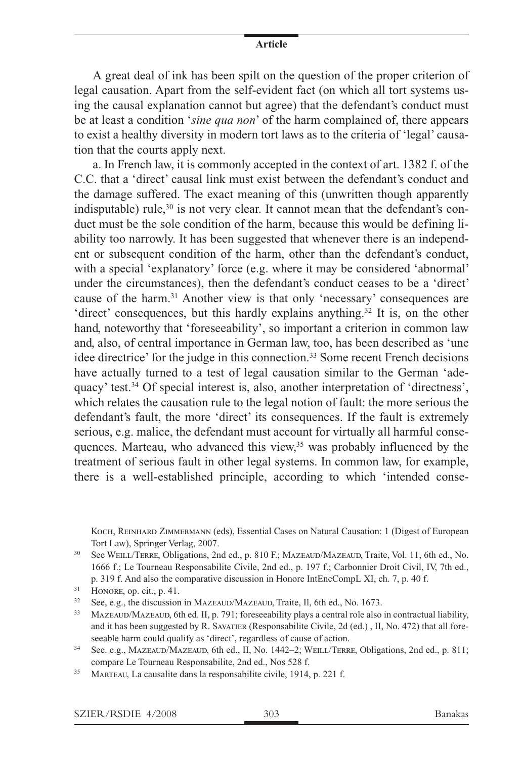A great deal of ink has been spilt on the question of the proper criterion of legal causation. Apart from the self-evident fact (on which all tort systems using the causal explanation cannot but agree) that the defendant's conduct must be at least a condition '*sine qua non*' of the harm complained of, there appears to exist a healthy diversity in modern tort laws as to the criteria of 'legal' causation that the courts apply next.

a. In French law, it is commonly accepted in the context of art. 1382 f. of the C.C. that a 'direct' causal link must exist between the defendant's conduct and the damage suffered. The exact meaning of this (unwritten though apparently indisputable) rule, $30$  is not very clear. It cannot mean that the defendant's conduct must be the sole condition of the harm, because this would be defining liability too narrowly. It has been suggested that whenever there is an independent or subsequent condition of the harm, other than the defendant's conduct, with a special 'explanatory' force (e.g. where it may be considered 'abnormal' under the circumstances), then the defendant's conduct ceases to be a 'direct' cause of the harm.31 Another view is that only 'necessary' consequences are 'direct' consequences, but this hardly explains anything.32 It is, on the other hand, noteworthy that 'foreseeability', so important a criterion in common law and, also, of central importance in German law, too, has been described as 'une idee directrice' for the judge in this connection.<sup>33</sup> Some recent French decisions have actually turned to a test of legal causation similar to the German 'adequacy' test.34 Of special interest is, also, another interpretation of 'directness', which relates the causation rule to the legal notion of fault: the more serious the defendant's fault, the more 'direct' its consequences. If the fault is extremely serious, e.g. malice, the defendant must account for virtually all harmful consequences. Marteau, who advanced this view,<sup>35</sup> was probably influenced by the treatment of serious fault in other legal systems. In common law, for example, there is a well-established principle, according to which 'intended conse-

KOCH, REINHARD ZIMMERMANN (eds), Essential Cases on Natural Causation: 1 (Digest of European Tort Law), Springer Verlag, 2007.

<sup>30</sup> See WEILL/TERRE, Obligations, 2nd ed., p. 810 F.; MAZEAUD/MAZEAUD, Traite, Vol. 11, 6th ed., No. 1666 f.; Le Tourneau Responsabilite Civile, 2nd ed., p. 197 f.; Carbonnier Droit Civil, IV, 7th ed., p. 319 f. And also the comparative discussion in Honore IntEncCompL XI, ch. 7, p. 40 f.

<sup>32</sup> See, e.g., the discussion in MAZEAUD/MAZEAUD, Traite, Il, 6th ed., No. 1673.

<sup>33</sup> MAZEAUD/MAZEAUD, 6th ed. II, p. 791; foreseeability plays a central role also in contractual liability, and it has been suggested by R. Savatier (Responsabilite Civile, 2d (ed.) , II, No. 472) that all foreseeable harm could qualify as 'direct', regardless of cause of action.

 $31$  HONORE, op. cit., p. 41.

<sup>&</sup>lt;sup>34</sup> See. e.g., MAZEAUD/MAZEAUD, 6th ed., II, No. 1442–2; WEILL/TERRE, Obligations, 2nd ed., p. 811; compare Le Tourneau Responsabilite, 2nd ed., Nos 528 f.

<sup>35</sup> Marteau, La causalite dans la responsabilite civile, 1914, p. 221 f.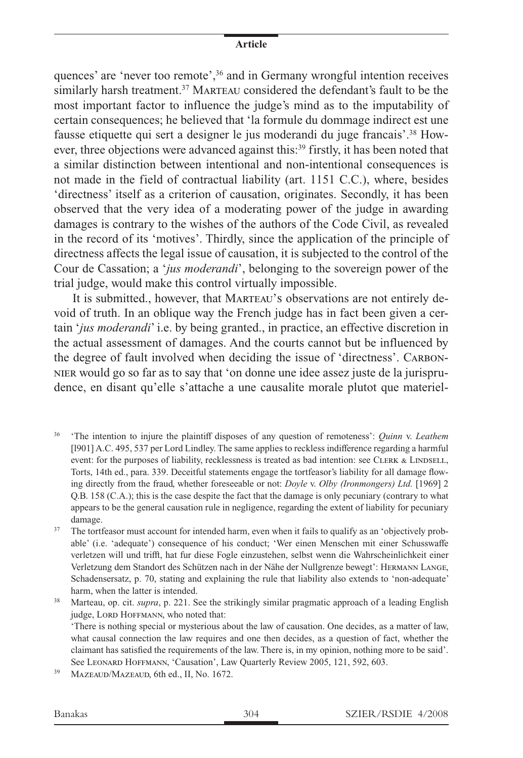quences' are 'never too remote',36 and in Germany wrongful intention receives similarly harsh treatment.<sup>37</sup> MARTEAU considered the defendant's fault to be the most important factor to influence the judge's mind as to the imputability of certain consequences; he believed that 'la formule du dommage indirect est une fausse etiquette qui sert a designer le jus moderandi du juge francais'.38 However, three objections were advanced against this:<sup>39</sup> firstly, it has been noted that a similar distinction between intentional and non-intentional consequences is not made in the field of contractual liability (art. 1151 C.C.), where, besides 'directness' itself as a criterion of causation, originates. Secondly, it has been observed that the very idea of a moderating power of the judge in awarding damages is contrary to the wishes of the authors of the Code Civil, as revealed in the record of its 'motives'. Thirdly, since the application of the principle of directness affects the legal issue of causation, it is subjected to the control of the Cour de Cassation; a '*jus moderandi*', belonging to the sovereign power of the trial judge, would make this control virtually impossible.

It is submitted., however, that MARTEAU's observations are not entirely devoid of truth. In an oblique way the French judge has in fact been given a certain '*jus moderandi*' i.e. by being granted., in practice, an effective discretion in the actual assessment of damages. And the courts cannot but be influenced by the degree of fault involved when deciding the issue of 'directness'. Carbon-NIER would go so far as to say that 'on donne une idee assez juste de la jurisprudence, en disant qu'elle s'attache a une causalite morale plutot que materiel-

- <sup>36</sup> 'The intention to injure the plaintiff disposes of any question of remoteness': *Quinn* v. *Leathem* [l901] A.C. 495, 537 per Lord Lindley. The same applies to reckless indifference regarding a harmful event: for the purposes of liability, recklessness is treated as bad intention: see CLERK & LINDSELL, Torts, 14th ed., para. 339. Deceitful statements engage the tortfeasor's liability for all damage flowing directly from the fraud, whether foreseeable or not: *Doyle* v. *Olby (Ironmongers) Ltd.* [1969] 2 Q.B. 158 (C.A.); this is the case despite the fact that the damage is only pecuniary (contrary to what appears to be the general causation rule in negligence, regarding the extent of liability for pecuniary damage.
- <sup>37</sup> The tortfeasor must account for intended harm, even when it fails to qualify as an 'objectively probable' (i.e. 'adequate') consequence of his conduct; 'Wer einen Menschen mit einer Schusswaffe verletzen will und trifft, hat fur diese Fogle einzustehen, selbst wenn die Wahrscheinlichkeit einer Verletzung dem Standort des Schützen nach in der Nähe der Nullgrenze bewegt': Hermann Lange, Schadensersatz, p. 70, stating and explaining the rule that liability also extends to 'non-adequate' harm, when the latter is intended.

<sup>38</sup> Marteau, op. cit. *supra*, p. 221. See the strikingly similar pragmatic approach of a leading English judge, LORD HOFFMANN, who noted that:

'There is nothing special or mysterious about the law of causation. One decides, as a matter of law, what causal connection the law requires and one then decides, as a question of fact, whether the claimant has satisfied the requirements of the law. There is, in my opinion, nothing more to be said'. See LEONARD HOFFMANN, 'Causation', Law Quarterly Review 2005, 121, 592, 603.

<sup>39</sup> Mazeaud/Mazeaud, 6th ed., II, No. 1672.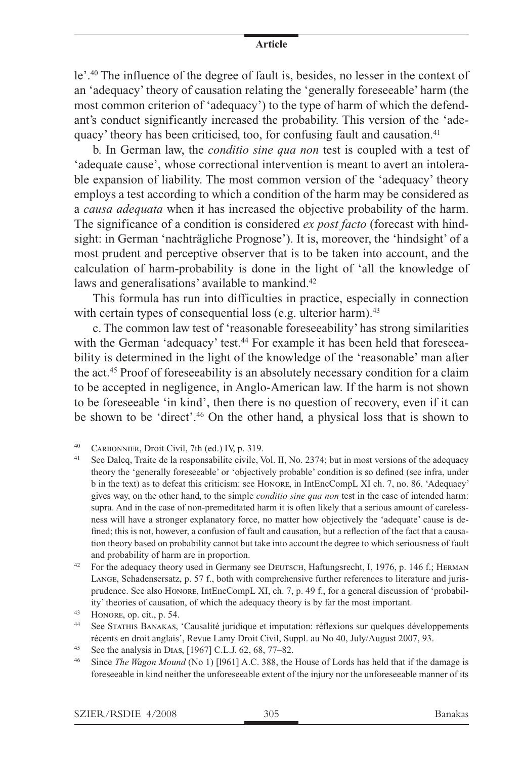le'.40 The influence of the degree of fault is, besides, no lesser in the context of an 'adequacy' theory of causation relating the 'generally foreseeable' harm (the most common criterion of 'adequacy') to the type of harm of which the defendant's conduct significantly increased the probability. This version of the 'adequacy' theory has been criticised, too, for confusing fault and causation.<sup>41</sup>

b. In German law, the *conditio sine qua non* test is coupled with a test of 'adequate cause', whose correctional intervention is meant to avert an intolerable expansion of liability. The most common version of the 'adequacy' theory employs a test according to which a condition of the harm may be considered as a *causa adequata* when it has increased the objective probability of the harm. The significance of a condition is considered *ex post facto* (forecast with hindsight: in German 'nachträgliche Prognose'). It is, moreover, the 'hindsight' of a most prudent and perceptive observer that is to be taken into account, and the calculation of harm-probability is done in the light of 'all the knowledge of laws and generalisations' available to mankind.<sup>42</sup>

This formula has run into difficulties in practice, especially in connection with certain types of consequential loss (e.g. ulterior harm).<sup>43</sup>

c. The common law test of 'reasonable foreseeability' has strong similarities with the German 'adequacy' test.<sup>44</sup> For example it has been held that foreseeability is determined in the light of the knowledge of the 'reasonable' man after the act.45 Proof of foreseeability is an absolutely necessary condition for a claim to be accepted in negligence, in Anglo-American law. If the harm is not shown to be foreseeable 'in kind', then there is no question of recovery, even if it can be shown to be 'direct'.46 On the other hand, a physical loss that is shown to

- <sup>41</sup> See Dalcq, Traite de la responsabilite civile, Vol. II, No. 2374; but in most versions of the adequacy theory the 'generally foreseeable' or 'objectively probable' condition is so defined (see infra, under b in the text) as to defeat this criticism: see Honore, in IntEncCompL XI ch. 7, no. 86. 'Adequacy' gives way, on the other hand, to the simple *conditio sine qua non* test in the case of intended harm: supra. And in the case of non-premeditated harm it is often likely that a serious amount of carelessness will have a stronger explanatory force, no matter how objectively the 'adequate' cause is defined; this is not, however, a confusion of fault and causation, but a reflection of the fact that a causation theory based on probability cannot but take into account the degree to which seriousness of fault and probability of harm are in proportion.
- <sup>42</sup> For the adequacy theory used in Germany see DEUTSCH, Haftungsrecht, I, 1976, p. 146 f.; HERMAN Lange, Schadensersatz, p. 57 f., both with comprehensive further references to literature and jurisprudence. See also Honore, IntEncCompL XI, ch. 7, p. 49 f., for a general discussion of 'probability' theories of causation, of which the adequacy theory is by far the most important.
- $^{43}$  HONORE, op. cit., p. 54.
- <sup>44</sup> See Stathis Banakas, 'Causalité juridique et imputation: réflexions sur quelques développements récents en droit anglais', Revue Lamy Droit Civil, Suppl. au No 40, July/August 2007, 93.
- <sup>45</sup> See the analysis in Dias, [1967] C.L.J. 62, 68, 77–82.
- <sup>46</sup> Since *The Wagon Mound* (No 1) [l961] A.C. 388, the House of Lords has held that if the damage is foreseeable in kind neither the unforeseeable extent of the injury nor the unforeseeable manner of its

<sup>40</sup> Carbonnier, Droit Civil, 7th (ed.) IV, p. 319.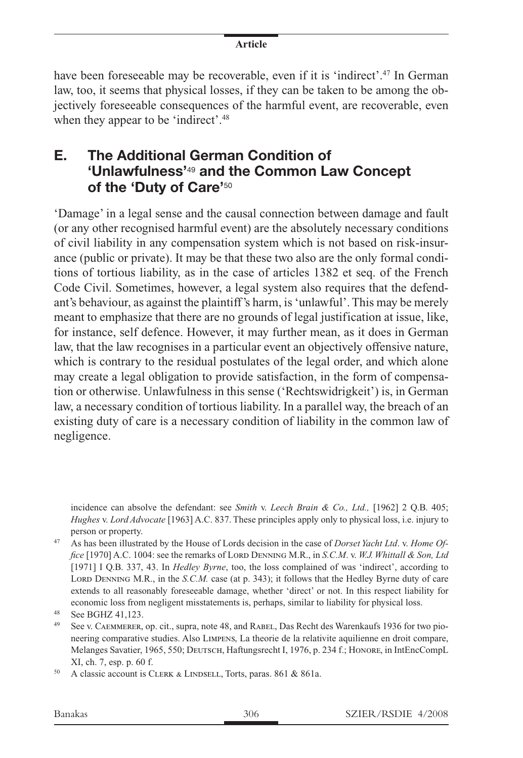have been foreseeable may be recoverable, even if it is 'indirect'.<sup>47</sup> In German law, too, it seems that physical losses, if they can be taken to be among the objectively foreseeable consequences of the harmful event, are recoverable, even when they appear to be 'indirect'.<sup>48</sup>

## **E. The Additional German Condition of 'Unlawfulness'**<sup>49</sup> **and the Common Law Concept of the 'Duty of Care'**<sup>50</sup>

'Damage' in a legal sense and the causal connection between damage and fault (or any other recognised harmful event) are the absolutely necessary conditions of civil liability in any compensation system which is not based on risk-insurance (public or private). It may be that these two also are the only formal conditions of tortious liability, as in the case of articles 1382 et seq. of the French Code Civil. Sometimes, however, a legal system also requires that the defendant's behaviour, as against the plaintiff's harm, is 'unlawful'. This may be merely meant to emphasize that there are no grounds of legal justification at issue, like, for instance, self defence. However, it may further mean, as it does in German law, that the law recognises in a particular event an objectively offensive nature, which is contrary to the residual postulates of the legal order, and which alone may create a legal obligation to provide satisfaction, in the form of compensation or otherwise. Unlawfulness in this sense ('Rechtswidrigkeit') is, in German law, a necessary condition of tortious liability. In a parallel way, the breach of an existing duty of care is a necessary condition of liability in the common law of negligence.

incidence can absolve the defendant: see *Smith* v. *Leech Brain & Co., Ltd.,* [1962] 2 Q.B. 405; *Hughes* v. *Lord Advocate* [1963] A.C. 837. These principles apply only to physical loss, i.e. injury to person or property.

<sup>47</sup> As has been illustrated by the House of Lords decision in the case of *Dorset Yacht Ltd*. v. *Home Office* [1970] A.C. 1004: see the remarks of Lord Denning M.R., in *S.C.M. v. W.J. Whittall & Son, Ltd* [1971] I Q.B. 337, 43. In *Hedley Byrne*, too, the loss complained of was 'indirect', according to LORD DENNING M.R., in the *S.C.M.* case (at p. 343); it follows that the Hedley Byrne duty of care extends to all reasonably foreseeable damage, whether 'direct' or not. In this respect liability for economic loss from negligent misstatements is, perhaps, similar to liability for physical loss.

<sup>48</sup> See BGHZ 41,123.

<sup>49</sup> See v. Caemmerer, op. cit., supra, note 48, and Rabel, Das Recht des Warenkaufs 1936 for two pioneering comparative studies. Also Limpens, La theorie de la relativite aquilienne en droit compare, Melanges Savatier, 1965, 550; DEUTSCH, Haftungsrecht I, 1976, p. 234 f.; HONORE, in IntEncCompL XI, ch. 7, esp. p. 60 f.

<sup>&</sup>lt;sup>50</sup> A classic account is CLERK & LINDSELL, Torts, paras. 861 & 861a.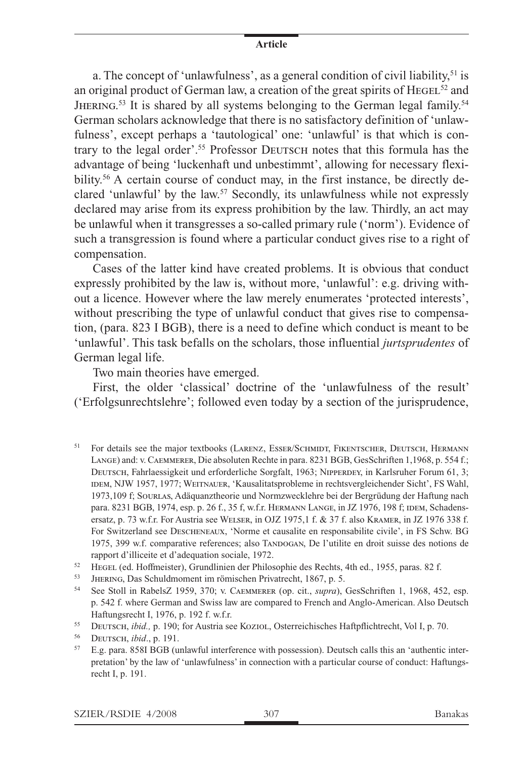a. The concept of 'unlawfulness', as a general condition of civil liability,  $51$  is an original product of German law, a creation of the great spirits of  $H_{\text{EGEL}}^{52}$  and JHERING.<sup>53</sup> It is shared by all systems belonging to the German legal family.<sup>54</sup> German scholars acknowledge that there is no satisfactory definition of 'unlawfulness', except perhaps a 'tautological' one: 'unlawful' is that which is contrary to the legal order'.<sup>55</sup> Professor DEUTSCH notes that this formula has the advantage of being 'luckenhaft und unbestimmt', allowing for necessary flexibility.<sup>56</sup> A certain course of conduct may, in the first instance, be directly declared 'unlawful' by the law.57 Secondly, its unlawfulness while not expressly declared may arise from its express prohibition by the law. Thirdly, an act may be unlawful when it transgresses a so-called primary rule ('norm'). Evidence of such a transgression is found where a particular conduct gives rise to a right of compensation.

Cases of the latter kind have created problems. It is obvious that conduct expressly prohibited by the law is, without more, 'unlawful': e.g. driving without a licence. However where the law merely enumerates 'protected interests', without prescribing the type of unlawful conduct that gives rise to compensation, (para. 823 I BGB), there is a need to define which conduct is meant to be 'unlawful'. This task befalls on the scholars, those influential *jurtsprudentes* of German legal life.

Two main theories have emerged.

First, the older 'classical' doctrine of the 'unlawfulness of the result' ('Erfolgsunrechtslehre'; followed even today by a section of the jurisprudence,

- <sup>51</sup> For details see the major textbooks (LARENZ, ESSER/SCHMIDT, FIKENTSCHER, DEUTSCH, HERMANN Lange) and: v. Caemmerer, Die absoluten Rechte in para. 8231 BGB, GesSchriften 1,1968, p. 554 f.; DEUTSCH, Fahrlaessigkeit und erforderliche Sorgfalt, 1963; NIPPERDEY, in Karlsruher Forum 61, 3; IDEM, NJW 1957, 1977; WEITNAUER, 'Kausalitatsprobleme in rechtsvergleichender Sicht', FS Wahl, 1973,109 f; Sourlas, Adäquanztheorie und Normzwecklehre bei der Bergrüdung der Haftung nach para. 8231 BGB, 1974, esp. p. 26 f., 35 f, w.f.r. HERMANN LANGE, in JZ 1976, 198 f; IDEM, Schadensersatz, p. 73 w.f.r. For Austria see Welser, in OJZ 1975,1 f. & 37 f. also Kramer, in JZ 1976 338 f. For Switzerland see Descheneaux, 'Norme et causalite en responsabilite civile', in FS Schw. BG 1975, 399 w.f. comparative references; also TANDOGAN, De l'utilite en droit suisse des notions de rapport d'illiceite et d'adequation sociale, 1972.
- <sup>52</sup> HEGEL (ed. Hoffmeister), Grundlinien der Philosophie des Rechts, 4th ed., 1955, paras. 82 f.<br><sup>53</sup> Hurnaug Des Schuldmoment im römischen Privatrecht, 1867 n. 5
- JHERING, Das Schuldmoment im römischen Privatrecht, 1867, p. 5.
- <sup>54</sup> See Stoll in RabelsZ 1959, 370; v. Caemmerer (op. cit., *supra*), GesSchriften 1, 1968, 452, esp. p. 542 f. where German and Swiss law are compared to French and Anglo-American. Also Deutsch Haftungsrecht I, 1976, p. 192 f. w.f.r.
- <sup>55</sup> Deutsch, *ibid.,* p. 190; for Austria see Koziol, Osterreichisches Haftpflichtrecht, Vol I, p. 70.

<sup>57</sup> E.g. para. 858I BGB (unlawful interference with possession). Deutsch calls this an 'authentic interpretation' by the law of 'unlawfulness' in connection with a particular course of conduct: Haftungsrecht I, p. 191.

<sup>56</sup> Deutsch, *ibid*., p. 191.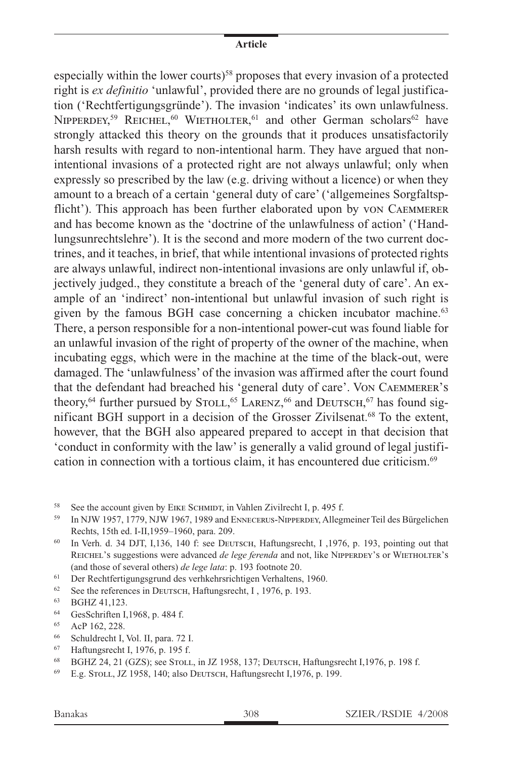especially within the lower courts)<sup>58</sup> proposes that every invasion of a protected right is *ex definitio* 'unlawful', provided there are no grounds of legal justification ('Rechtfertigungsgründe'). The invasion 'indicates' its own unlawfulness. NIPPERDEY,<sup>59</sup> REICHEL,<sup>60</sup> WIETHOLTER,<sup>61</sup> and other German scholars<sup>62</sup> have strongly attacked this theory on the grounds that it produces unsatisfactorily harsh results with regard to non-intentional harm. They have argued that nonintentional invasions of a protected right are not always unlawful; only when expressly so prescribed by the law (e.g. driving without a licence) or when they amount to a breach of a certain 'general duty of care' ('allgemeines Sorgfaltspflicht'). This approach has been further elaborated upon by von Caemmerer and has become known as the 'doctrine of the unlawfulness of action' ('Handlungsunrechtslehre'). It is the second and more modern of the two current doctrines, and it teaches, in brief, that while intentional invasions of protected rights are always unlawful, indirect non-intentional invasions are only unlawful if, objectively judged., they constitute a breach of the 'general duty of care'. An example of an 'indirect' non-intentional but unlawful invasion of such right is given by the famous BGH case concerning a chicken incubator machine.<sup>63</sup> There, a person responsible for a non-intentional power-cut was found liable for an unlawful invasion of the right of property of the owner of the machine, when incubating eggs, which were in the machine at the time of the black-out, were damaged. The 'unlawfulness' of the invasion was affirmed after the court found that the defendant had breached his 'general duty of care'. Von Caemmerer's theory,<sup>64</sup> further pursued by STOLL,<sup>65</sup> LARENZ,<sup>66</sup> and DEUTSCH,<sup>67</sup> has found significant BGH support in a decision of the Grosser Zivilsenat.68 To the extent, however, that the BGH also appeared prepared to accept in that decision that 'conduct in conformity with the law' is generally a valid ground of legal justification in connection with a tortious claim, it has encountered due criticism.<sup>69</sup>

- <sup>61</sup> Der Rechtfertigungsgrund des verhkehrsrichtigen Verhaltens, 1960.
- <sup>62</sup> See the references in DEUTSCH, Haftungsrecht, I, 1976, p. 193.
- <sup>63</sup> BGHZ 41,123.
- <sup>64</sup> GesSchriften I,1968, p. 484 f.
- <sup>65</sup> AcP 162, 228.
- <sup>66</sup> Schuldrecht I, Vol. II, para. 72 I.
- 67 Haftungsrecht I, 1976, p. 195 f.<br>68 BGHZ 24, 21 (GZS): see STOL
- <sup>68</sup> BGHZ 24, 21 (GZS); see Stoll, in JZ 1958, 137; Deutsch, Haftungsrecht I,1976, p. 198 f.
- <sup>69</sup> E.g. Stoll, JZ 1958, 140; also Deutsch, Haftungsrecht I,1976, p. 199.

<sup>&</sup>lt;sup>58</sup> See the account given by EIKE SCHMIDT, in Vahlen Zivilrecht I, p. 495 f.

<sup>59</sup> In NJW 1957, 1779, NJW 1967, 1989 and Ennecerus-Nipperdey, Allegmeiner Teil des Bürgelichen Rechts, 15th ed. I-II,1959–1960, para. 209.

<sup>60</sup> In Verh. d. 34 DJT, I,136, 140 f: see Deutsch, Haftungsrecht, I ,1976, p. 193, pointing out that REICHEL's suggestions were advanced *de lege ferenda* and not, like NIPPERDEY's or WIETHOLTER's (and those of several others) *de lege lata*: p. 193 footnote 20.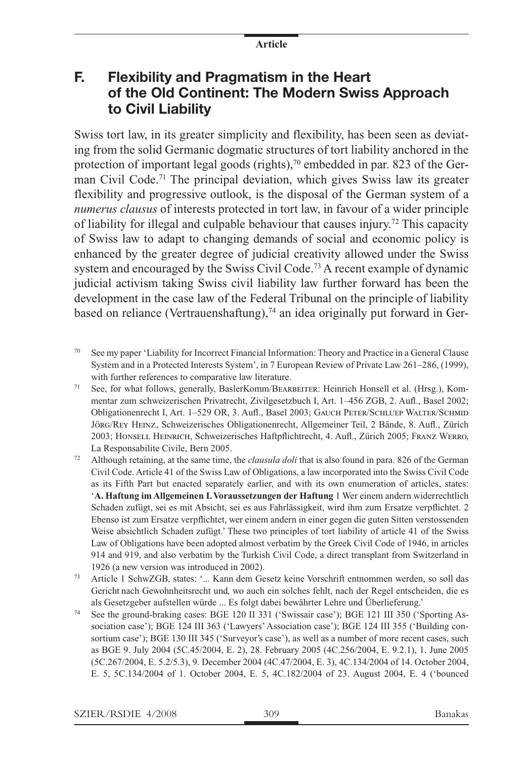## **F. Flexibility and Pragmatism in the Heart of the Old Continent: The Modern Swiss Approach to Civil Liability**

Swiss tort law, in its greater simplicity and flexibility, has been seen as deviating from the solid Germanic dogmatic structures of tort liability anchored in the protection of important legal goods (rights), $70$  embedded in par. 823 of the German Civil Code.71 The principal deviation, which gives Swiss law its greater flexibility and progressive outlook, is the disposal of the German system of a *numerus clausus* of interests protected in tort law, in favour of a wider principle of liability for illegal and culpable behaviour that causes injury.<sup>72</sup> This capacity of Swiss law to adapt to changing demands of social and economic policy is enhanced by the greater degree of judicial creativity allowed under the Swiss system and encouraged by the Swiss Civil Code.<sup>73</sup> A recent example of dynamic judicial activism taking Swiss civil liability law further forward has been the development in the case law of the Federal Tribunal on the principle of liability based on reliance (Vertrauenshaftung),<sup>74</sup> an idea originally put forward in Ger-

- <sup>70</sup> See my paper 'Liability for Incorrect Financial Information: Theory and Practice in a General Clause System and in a Protected Interests System', in 7 European Review of Private Law 261–286, (1999), with further references to comparative law literature.
- <sup>71</sup> See, for what follows, generally, BaslerKomm/BEARBEITER: Heinrich Honsell et al. (Hrsg.), Kommentar zum schweizerischen Privatrecht, Zivilgesetzbuch I, Art. 1–456 ZGB, 2. Aufl., Basel 2002; Obligationenrecht I, Art. 1–529 OR, 3. Aufl., Basel 2003; Gauch Peter/Schluep Walter/Schmid Jörg/Rey Heinz, Schweizerisches Obligationenrecht, Allgemeiner Teil, 2 Bände, 8. Aufl., Zürich 2003; Honsell Heinrich, Schweizerisches Haftpflichtrecht, 4. Aufl., Zürich 2005; Franz Werro, La Responsabilite Civile, Bern 2005.
- <sup>72</sup> Although retaining, at the same time, the *clausula doli* that is also found in para. 826 of the German Civil Code. Article 41 of the Swiss Law of Obligations, a law incorporated into the Swiss Civil Code as its Fifth Part but enacted separately earlier, and with its own enumeration of articles, states: '**A. Haftung im Allgemeinen I. Voraussetzungen der Haftung** 1 Wer einem andern widerrechtlich Schaden zufügt, sei es mit Absicht, sei es aus Fahrlässigkeit, wird ihm zum Ersatze verpflichtet. 2 Ebenso ist zum Ersatze verpflichtet, wer einem andern in einer gegen die guten Sitten verstossenden Weise absichtlich Schaden zufügt.' These two principles of tort liability of article 41 of the Swiss Law of Obligations have been adopted almost verbatim by the Greek Civil Code of 1946, in articles 914 and 919, and also verbatim by the Turkish Civil Code, a direct transplant from Switzerland in 1926 (a new version was introduced in 2002).
- <sup>73</sup> Article 1 SchwZGB, states: '... Kann dem Gesetz keine Vorschrift entnommen werden, so soll das Gericht nach Gewohnheitsrecht und, wo auch ein solches fehlt, nach der Regel entscheiden, die es als Gesetzgeber aufstellen würde ... Es folgt dabei bewährter Lehre und Überlieferung.'
- <sup>74</sup> See the ground-braking cases: BGE 120 II 331 ('Swissair case'); BGE 121 III 350 ('Sporting Association case'); BGE 124 III 363 ('Lawyers' Association case'); BGE 124 III 355 ('Building consortium case'); BGE 130 III 345 ('Surveyor's case'), as well as a number of more recent cases, such as BGE 9. July 2004 (5C.45/2004, E. 2), 28. February 2005 (4C.256/2004, E. 9.2.1), 1. June 2005 (5C.267/2004, E. 5.2/5.3), 9. December 2004 (4C.47/2004, E. 3), 4C.134/2004 of 14. October 2004, E. 5, 5C.134/2004 of 1. October 2004, E. 5, 4C.182/2004 of 23. August 2004, E. 4 ('bounced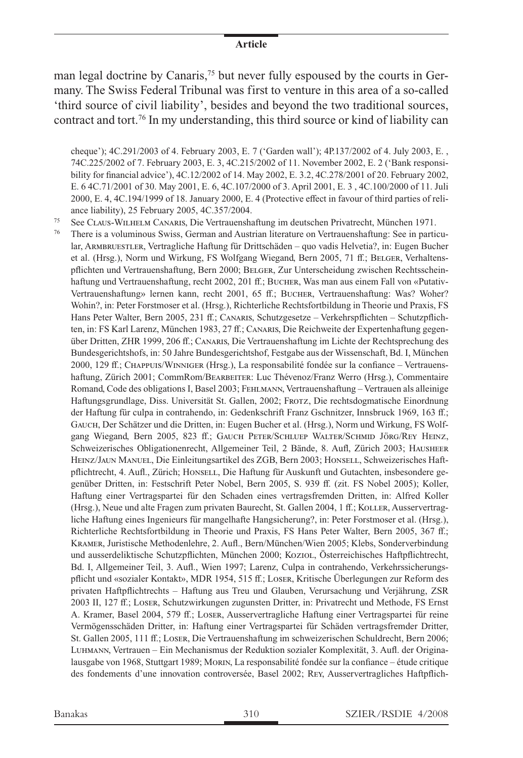man legal doctrine by Canaris,75 but never fully espoused by the courts in Germany. The Swiss Federal Tribunal was first to venture in this area of a so-called 'third source of civil liability', besides and beyond the two traditional sources, contract and tort.76 In my understanding, this third source or kind of liability can

cheque'); 4C.291/2003 of 4. February 2003, E. 7 ('Garden wall'); 4P.137/2002 of 4. July 2003, E. , 74C.225/2002 of 7. February 2003, E. 3, 4C.215/2002 of 11. November 2002, E. 2 ('Bank responsibility for financial advice'), 4C.12/2002 of 14. May 2002, E. 3.2, 4C.278/2001 of 20. February 2002, E. 6 4C.71/2001 of 30. May 2001, E. 6, 4C.107/2000 of 3. April 2001, E. 3 , 4C.100/2000 of 11. Juli 2000, E. 4, 4C.194/1999 of 18. January 2000, E. 4 (Protective effect in favour of third parties of reliance liability), 25 February 2005, 4C.357/2004.

<sup>75</sup> See Claus-Wilhelm Canaris, Die Vertrauenshaftung im deutschen Privatrecht, München 1971.

<sup>76</sup> There is a voluminous Swiss, German and Austrian literature on Vertrauenshaftung: See in particular, ARMBRUESTLER, Vertragliche Haftung für Drittschäden – quo vadis Helvetia?, in: Eugen Bucher et al. (Hrsg.), Norm und Wirkung, FS Wolfgang Wiegand, Bern 2005, 71 ff.; BELGER, Verhaltenspflichten und Vertrauenshaftung, Bern 2000; Belger, Zur Unterscheidung zwischen Rechtsscheinhaftung und Vertrauenshaftung, recht 2002, 201 ff.; Bucher, Was man aus einem Fall von «Putativ-Vertrauenshaftung» lernen kann, recht 2001, 65 ff.; Bucher, Vertrauenshaftung: Was? Woher? Wohin?, in: Peter Forstmoser et al. (Hrsg.), Richterliche Rechtsfortbildung in Theorie und Praxis, FS Hans Peter Walter, Bern 2005, 231 ff.; Canaris, Schutzgesetze – Verkehrspflichten – Schutzpflichten, in: FS Karl Larenz, München 1983, 27 ff.; Canaris, Die Reichweite der Expertenhaftung gegenüber Dritten, ZHR 1999, 206 ff.; Canaris, Die Vertrauenshaftung im Lichte der Rechtsprechung des Bundesgerichtshofs, in: 50 Jahre Bundesgerichtshof, Festgabe aus der Wissenschaft, Bd. I, München 2000, 129 ff.; Chappuis/Winniger (Hrsg.), La responsabilité fondée sur la confiance – Vertrauenshaftung, Zürich 2001; CommRom/BEARBEITER: Luc Thévenoz/Franz Werro (Hrsg.), Commentaire Romand, Code des obligations I, Basel 2003; Fehlmann, Vertrauenshaftung – Vertrauen als alleinige Haftungsgrundlage, Diss. Universität St. Gallen, 2002; Frotz, Die rechtsdogmatische Einordnung der Haftung für culpa in contrahendo, in: Gedenkschrift Franz Gschnitzer, Innsbruck 1969, 163 ff.; Gauch, Der Schätzer und die Dritten, in: Eugen Bucher et al. (Hrsg.), Norm und Wirkung, FS Wolfgang Wiegand, Bern 2005, 823 ff.; GAUCH PETER/SCHLUEP WALTER/SCHMID JÖRG/REY HEINZ, Schweizerisches Obligationenrecht, Allgemeiner Teil, 2 Bände, 8. Aufl, Zürich 2003; Hausheer HEINZ/JAUN MANUEL, Die Einleitungsartikel des ZGB, Bern 2003; HONSELL, Schweizerisches Haftpflichtrecht, 4. Aufl., Zürich; Honsell, Die Haftung für Auskunft und Gutachten, insbesondere gegenüber Dritten, in: Festschrift Peter Nobel, Bern 2005, S. 939 ff. (zit. FS Nobel 2005); Koller, Haftung einer Vertragspartei für den Schaden eines vertragsfremden Dritten, in: Alfred Koller (Hrsg.), Neue und alte Fragen zum privaten Baurecht, St. Gallen 2004, 1 ff.; Koller, Ausservertragliche Haftung eines Ingenieurs für mangelhafte Hangsicherung?, in: Peter Forstmoser et al. (Hrsg.), Richterliche Rechtsfortbildung in Theorie und Praxis, FS Hans Peter Walter, Bern 2005, 367 ff.; Kramer, Juristische Methodenlehre, 2. Aufl., Bern/München/Wien 2005; Klebs, Sonderverbindung und ausserdeliktische Schutzpflichten, München 2000; Koziol, Österreichisches Haftpflichtrecht, Bd. I, Allgemeiner Teil, 3. Aufl., Wien 1997; Larenz, Culpa in contrahendo, Verkehrssicherungspflicht und «sozialer Kontakt», MDR 1954, 515 ff.; Loser, Kritische Überlegungen zur Reform des privaten Haftpflichtrechts – Haftung aus Treu und Glauben, Verursachung und Verjährung, ZSR 2003 II, 127 ff.; Loser, Schutzwirkungen zugunsten Dritter, in: Privatrecht und Methode, FS Ernst A. Kramer, Basel 2004, 579 ff.; Loser, Ausservertragliche Haftung einer Vertragspartei für reine Vermögensschäden Dritter, in: Haftung einer Vertragspartei für Schäden vertragsfremder Dritter, St. Gallen 2005, 111 ff.; Loser, Die Vertrauenshaftung im schweizerischen Schuldrecht, Bern 2006; Luhmann, Vertrauen – Ein Mechanismus der Reduktion sozialer Komplexität, 3. Aufl. der Originalausgabe von 1968, Stuttgart 1989; Morin, La responsabilité fondée sur la confiance – étude critique des fondements d'une innovation controversée, Basel 2002; Rey, Ausservertragliches Haftpflich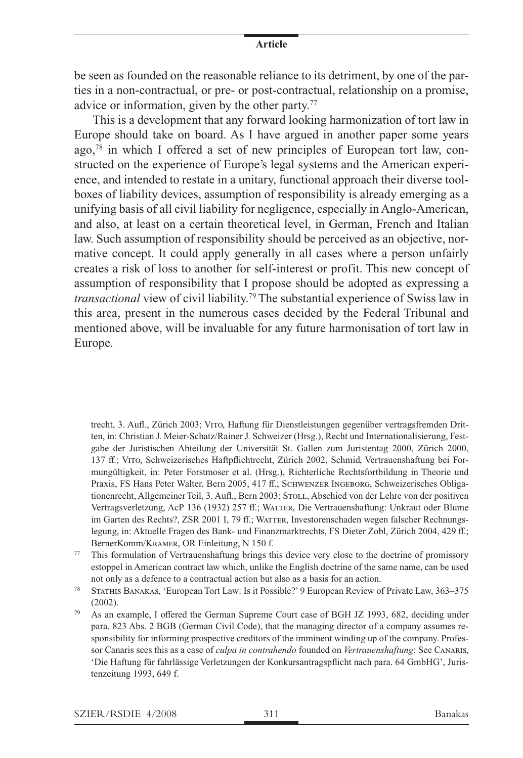be seen as founded on the reasonable reliance to its detriment, by one of the parties in a non-contractual, or pre- or post-contractual, relationship on a promise, advice or information, given by the other party.<sup>77</sup>

This is a development that any forward looking harmonization of tort law in Europe should take on board. As I have argued in another paper some years ago, $78$  in which I offered a set of new principles of European tort law, constructed on the experience of Europe's legal systems and the American experience, and intended to restate in a unitary, functional approach their diverse toolboxes of liability devices, assumption of responsibility is already emerging as a unifying basis of all civil liability for negligence, especially in Anglo-American, and also, at least on a certain theoretical level, in German, French and Italian law. Such assumption of responsibility should be perceived as an objective, normative concept. It could apply generally in all cases where a person unfairly creates a risk of loss to another for self-interest or profit. This new concept of assumption of responsibility that I propose should be adopted as expressing a *transactional* view of civil liability.79 The substantial experience of Swiss law in this area, present in the numerous cases decided by the Federal Tribunal and mentioned above, will be invaluable for any future harmonisation of tort law in Europe.

trecht, 3. Aufl., Zürich 2003; Vito, Haftung für Dienstleistungen gegenüber vertragsfremden Dritten, in: Christian J. Meier-Schatz/Rainer J. Schweizer (Hrsg.), Recht und Internationalisierung, Festgabe der Juristischen Abteilung der Universität St. Gallen zum Juristentag 2000, Zürich 2000, 137 ff.; Vito, Schweizerisches Haftpflichtrecht, Zürich 2002, Schmid, Vertrauenshaftung bei Formungültigkeit, in: Peter Forstmoser et al. (Hrsg.), Richterliche Rechtsfortbildung in Theorie und Praxis, FS Hans Peter Walter, Bern 2005, 417 ff.; SCHWENZER INGEBORG, Schweizerisches Obligationenrecht, Allgemeiner Teil, 3. Aufl., Bern 2003; STOLL, Abschied von der Lehre von der positiven Vertragsverletzung, AcP 136 (1932) 257 ff.; Walter, Die Vertrauenshaftung: Unkraut oder Blume im Garten des Rechts?, ZSR 2001 I, 79 ff.; WATTER, Investorenschaden wegen falscher Rechnungslegung, in: Aktuelle Fragen des Bank- und Finanzmarktrechts, FS Dieter Zobl, Zürich 2004, 429 ff.; BernerKomm/Kramer, OR Einleitung, N 150 f.

- <sup>77</sup> This formulation of Vertrauenshaftung brings this device very close to the doctrine of promissory estoppel in American contract law which, unlike the English doctrine of the same name, can be used not only as a defence to a contractual action but also as a basis for an action.
- <sup>78</sup> Stathis Banakas, 'European Tort Law: Is it Possible?' 9 European Review of Private Law, 363–375 (2002).
- <sup>79</sup> As an example, I offered the German Supreme Court case of BGH JZ 1993, 682, deciding under para. 823 Abs. 2 BGB (German Civil Code), that the managing director of a company assumes responsibility for informing prospective creditors of the imminent winding up of the company. Professor Canaris sees this as a case of *culpa in contrahendo* founded on *Vertrauenshaftung*: See Canaris, 'Die Haftung für fahrlässige Verletzungen der Konkursantragspflicht nach para. 64 GmbHG', Juristenzeitung 1993, 649 f.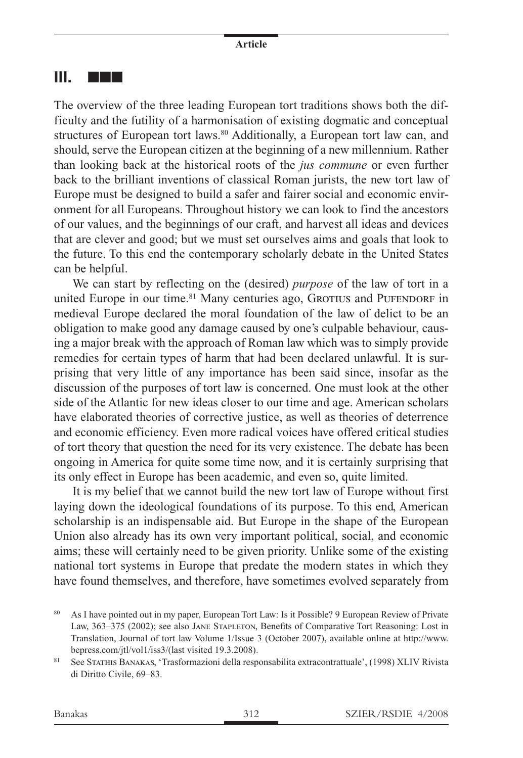### **III.** nnn

The overview of the three leading European tort traditions shows both the difficulty and the futility of a harmonisation of existing dogmatic and conceptual structures of European tort laws.<sup>80</sup> Additionally, a European tort law can, and should, serve the European citizen at the beginning of a new millennium. Rather than looking back at the historical roots of the *jus commune* or even further back to the brilliant inventions of classical Roman jurists, the new tort law of Europe must be designed to build a safer and fairer social and economic environment for all Europeans. Throughout history we can look to find the ancestors of our values, and the beginnings of our craft, and harvest all ideas and devices that are clever and good; but we must set ourselves aims and goals that look to the future. To this end the contemporary scholarly debate in the United States can be helpful.

We can start by reflecting on the (desired) *purpose* of the law of tort in a united Europe in our time.<sup>81</sup> Many centuries ago, GROTIUS and PUFENDORF in medieval Europe declared the moral foundation of the law of delict to be an obligation to make good any damage caused by one's culpable behaviour, causing a major break with the approach of Roman law which was to simply provide remedies for certain types of harm that had been declared unlawful. It is surprising that very little of any importance has been said since, insofar as the discussion of the purposes of tort law is concerned. One must look at the other side of the Atlantic for new ideas closer to our time and age. American scholars have elaborated theories of corrective justice, as well as theories of deterrence and economic efficiency. Even more radical voices have offered critical studies of tort theory that question the need for its very existence. The debate has been ongoing in America for quite some time now, and it is certainly surprising that its only effect in Europe has been academic, and even so, quite limited.

It is my belief that we cannot build the new tort law of Europe without first laying down the ideological foundations of its purpose. To this end, American scholarship is an indispensable aid. But Europe in the shape of the European Union also already has its own very important political, social, and economic aims; these will certainly need to be given priority. Unlike some of the existing national tort systems in Europe that predate the modern states in which they have found themselves, and therefore, have sometimes evolved separately from

<sup>&</sup>lt;sup>80</sup> As I have pointed out in my paper, European Tort Law: Is it Possible? 9 European Review of Private Law, 363–375 (2002); see also Jane Stapleton, Benefits of Comparative Tort Reasoning: Lost in Translation, Journal of tort law Volume 1/Issue 3 (October 2007), available online at http://www. bepress.com/jtl/vol1/iss3/(last visited 19.3.2008).

<sup>&</sup>lt;sup>81</sup> See Stathis Banakas, 'Trasformazioni della responsabilita extracontrattuale', (1998) XLIV Rivista di Diritto Civile, 69–83.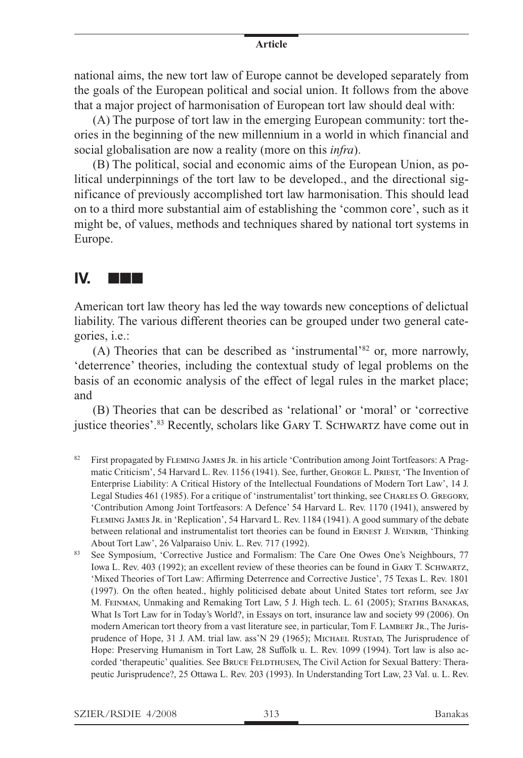national aims, the new tort law of Europe cannot be developed separately from the goals of the European political and social union. It follows from the above that a major project of harmonisation of European tort law should deal with:

(A) The purpose of tort law in the emerging European community: tort theories in the beginning of the new millennium in a world in which financial and social globalisation are now a reality (more on this *infra*).

(B) The political, social and economic aims of the European Union, as political underpinnings of the tort law to be developed., and the directional significance of previously accomplished tort law harmonisation. This should lead on to a third more substantial aim of establishing the 'common core', such as it might be, of values, methods and techniques shared by national tort systems in Europe.

## **IV.** nnn

American tort law theory has led the way towards new conceptions of delictual liability. The various different theories can be grouped under two general categories, i.e.:

(A) Theories that can be described as 'instrumental'82 or, more narrowly, 'deterrence' theories, including the contextual study of legal problems on the basis of an economic analysis of the effect of legal rules in the market place; and

(B) Theories that can be described as 'relational' or 'moral' or 'corrective justice theories'.<sup>83</sup> Recently, scholars like GARY T. SCHWARTZ have come out in

- <sup>82</sup> First propagated by FLEMING JAMES JR. in his article 'Contribution among Joint Tortfeasors: A Pragmatic Criticism', 54 Harvard L. Rev. 1156 (1941). See, further, George L. Priest, 'The Invention of Enterprise Liability: A Critical History of the Intellectual Foundations of Modern Tort Law', 14 J. Legal Studies 461 (1985). For a critique of 'instrumentalist' tort thinking, see CHARLES O. GREGORY, 'Contribution Among Joint Tortfeasors: A Defence' 54 Harvard L. Rev. 1170 (1941), answered by Fleming James Jr. in 'Replication', 54 Harvard L. Rev. 1184 (1941). A good summary of the debate between relational and instrumentalist tort theories can be found in ERNEST J. WEINRIB, 'Thinking About Tort Law', 26 Valparaiso Univ. L. Rev. 717 (1992).
- <sup>83</sup> See Symposium, 'Corrective Justice and Formalism: The Care One Owes One's Neighbours, 77 Iowa L. Rev. 403 (1992); an excellent review of these theories can be found in Gary T. Schwartz, 'Mixed Theories of Tort Law: Affirming Deterrence and Corrective Justice', 75 Texas L. Rev. 1801 (1997). On the often heated., highly politicised debate about United States tort reform, see Jay M. Feinman, Unmaking and Remaking Tort Law, 5 J. High tech. L. 61 (2005); Stathis Banakas, What Is Tort Law for in Today's World?, in Essays on tort, insurance law and society 99 (2006). On modern American tort theory from a vast literature see, in particular, Tom F. LAMBERT JR., The Jurisprudence of Hope, 31 J. AM. trial law. ass'N 29 (1965); Michael Rustad, The Jurisprudence of Hope: Preserving Humanism in Tort Law, 28 Suffolk u. L. Rev. 1099 (1994). Tort law is also accorded 'therapeutic' qualities. See BRUCE FELDTHUSEN, The Civil Action for Sexual Battery: Therapeutic Jurisprudence?, 25 Ottawa l. Rev. 203 (1993). In Understanding Tort Law, 23 Val. u. L. Rev.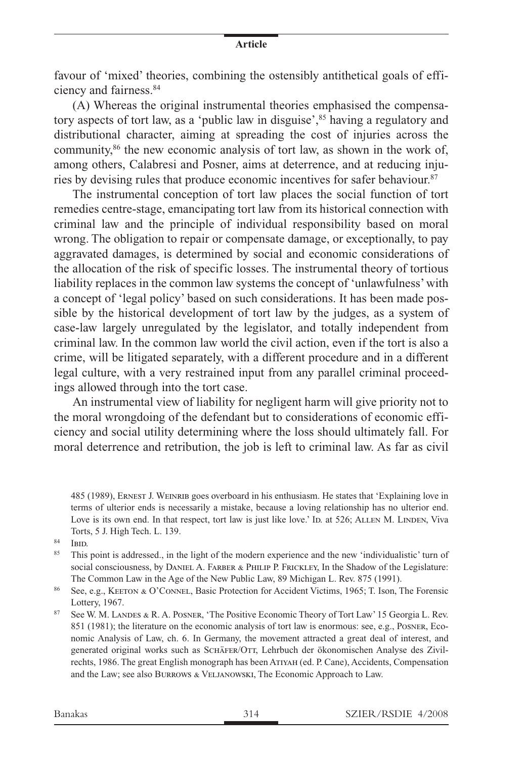favour of 'mixed' theories, combining the ostensibly antithetical goals of efficiency and fairness.84

(A) Whereas the original instrumental theories emphasised the compensatory aspects of tort law, as a 'public law in disguise',<sup>85</sup> having a regulatory and distributional character, aiming at spreading the cost of injuries across the community,<sup>86</sup> the new economic analysis of tort law, as shown in the work of, among others, Calabresi and Posner, aims at deterrence, and at reducing injuries by devising rules that produce economic incentives for safer behaviour.<sup>87</sup>

The instrumental conception of tort law places the social function of tort remedies centre-stage, emancipating tort law from its historical connection with criminal law and the principle of individual responsibility based on moral wrong. The obligation to repair or compensate damage, or exceptionally, to pay aggravated damages, is determined by social and economic considerations of the allocation of the risk of specific losses. The instrumental theory of tortious liability replaces in the common law systems the concept of 'unlawfulness' with a concept of 'legal policy' based on such considerations. It has been made possible by the historical development of tort law by the judges, as a system of case-law largely unregulated by the legislator, and totally independent from criminal law. In the common law world the civil action, even if the tort is also a crime, will be litigated separately, with a different procedure and in a different legal culture, with a very restrained input from any parallel criminal proceedings allowed through into the tort case.

An instrumental view of liability for negligent harm will give priority not to the moral wrongdoing of the defendant but to considerations of economic efficiency and social utility determining where the loss should ultimately fall. For moral deterrence and retribution, the job is left to criminal law. As far as civil

485 (1989), Ernest J. Weinrib goes overboard in his enthusiasm. He states that 'Explaining love in terms of ulterior ends is necessarily a mistake, because a loving relationship has no ulterior end. Love is its own end. In that respect, tort law is just like love.' ID. at 526; ALLEN M. LINDEN, Viva Torts, 5 J. High Tech. L. 139.

 $rac{84}{85}$  IBID.

<sup>85</sup> This point is addressed., in the light of the modern experience and the new 'individualistic' turn of social consciousness, by DANIEL A. FARBER & PHILIP P. FRICKLEY, In the Shadow of the Legislature: The Common Law in the Age of the New Public Law, 89 Michigan L. Rev. 875 (1991).

<sup>86</sup> See, e.g., KEETON & O'CONNEL, Basic Protection for Accident Victims, 1965; T. Ison, The Forensic Lottery, 1967.

<sup>87</sup> See W. M. Landes & R. A. Posner, 'The Positive Economic Theory of Tort Law' 15 Georgia L. Rev. 851 (1981); the literature on the economic analysis of tort law is enormous: see, e.g., Posner, Economic Analysis of Law, ch. 6. In Germany, the movement attracted a great deal of interest, and generated original works such as Schäfer/Ott, Lehrbuch der ökonomischen Analyse des Zivilrechts, 1986. The great English monograph has been Atiyah (ed. P. Cane), Accidents, Compensation and the Law; see also Burrows & Veljanowski, The Economic Approach to Law.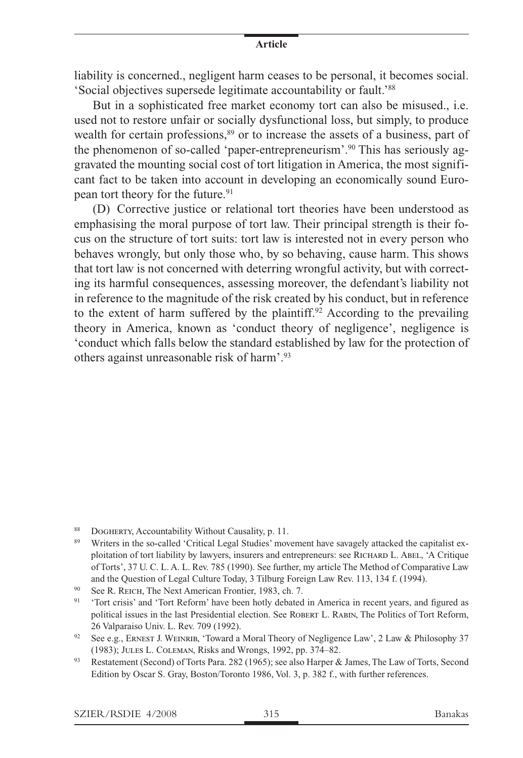liability is concerned., negligent harm ceases to be personal, it becomes social. 'Social objectives supersede legitimate accountability or fault.'88

But in a sophisticated free market economy tort can also be misused., i.e. used not to restore unfair or socially dysfunctional loss, but simply, to produce wealth for certain professions,<sup>89</sup> or to increase the assets of a business, part of the phenomenon of so-called 'paper-entrepreneurism'.90 This has seriously aggravated the mounting social cost of tort litigation in America, the most significant fact to be taken into account in developing an economically sound European tort theory for the future.<sup>91</sup>

(D) Corrective justice or relational tort theories have been understood as emphasising the moral purpose of tort law. Their principal strength is their focus on the structure of tort suits: tort law is interested not in every person who behaves wrongly, but only those who, by so behaving, cause harm. This shows that tort law is not concerned with deterring wrongful activity, but with correcting its harmful consequences, assessing moreover, the defendant's liability not in reference to the magnitude of the risk created by his conduct, but in reference to the extent of harm suffered by the plaintiff.<sup>92</sup> According to the prevailing theory in America, known as 'conduct theory of negligence', negligence is 'conduct which falls below the standard established by law for the protection of others against unreasonable risk of harm'.93

<sup>88</sup> DOGHERTY, Accountability Without Causality, p. 11.

<sup>89</sup> Writers in the so-called 'Critical Legal Studies' movement have savagely attacked the capitalist exploitation of tort liability by lawyers, insurers and entrepreneurs: see RICHARD L. ABEL, 'A Critique of Torts', 37 U. C. L. A. L. Rev. 785 (1990). See further, my article The Method of Comparative Law and the Question of Legal Culture Today, 3 Tilburg Foreign Law Rev. 113, 134 f. (1994).

<sup>90</sup> See R. Reich, The Next American Frontier, 1983, ch. 7.

<sup>&</sup>lt;sup>91</sup> 'Tort crisis' and 'Tort Reform' have been hotly debated in America in recent years, and figured as political issues in the last Presidential election. See ROBERT L. RABIN, The Politics of Tort Reform, 26 Valparaiso Univ. L. Rev. 709 (1992).

<sup>&</sup>lt;sup>92</sup> See e.g., ERNEST J. WEINRIB, 'Toward a Moral Theory of Negligence Law', 2 Law & Philosophy 37 (1983); Jules L. Coleman, Risks and Wrongs, 1992, pp. 374–82.

<sup>&</sup>lt;sup>93</sup> Restatement (Second) of Torts Para. 282 (1965); see also Harper & James, The Law of Torts, Second Edition by Oscar S. Gray, Boston/Toronto 1986, Vol. 3, p. 382 f., with further references.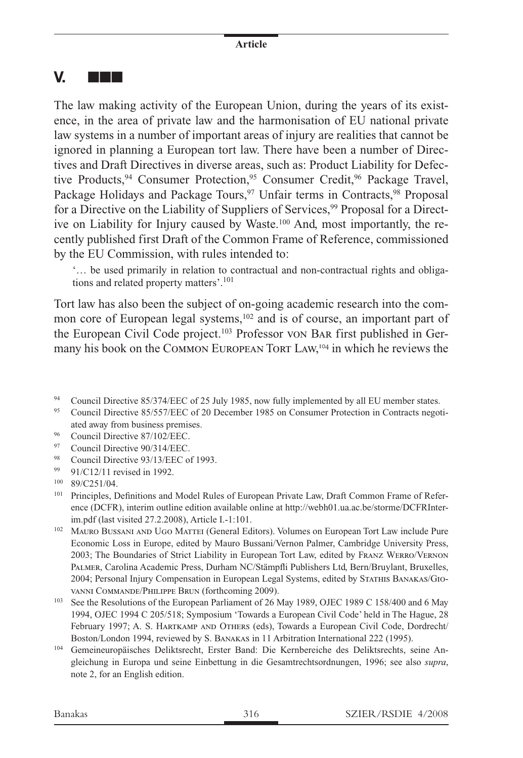## **V.** nnn

The law making activity of the European Union, during the years of its existence, in the area of private law and the harmonisation of EU national private law systems in a number of important areas of injury are realities that cannot be ignored in planning a European tort law. There have been a number of Directives and Draft Directives in diverse areas, such as: Product Liability for Defective Products, <sup>94</sup> Consumer Protection, <sup>95</sup> Consumer Credit, <sup>96</sup> Package Travel, Package Holidays and Package Tours,<sup>97</sup> Unfair terms in Contracts,<sup>98</sup> Proposal for a Directive on the Liability of Suppliers of Services,<sup>99</sup> Proposal for a Directive on Liability for Injury caused by Waste.100 And, most importantly, the recently published first Draft of the Common Frame of Reference, commissioned by the EU Commission, with rules intended to:

'… be used primarily in relation to contractual and non-contractual rights and obligations and related property matters'.<sup>101</sup>

Tort law has also been the subject of on-going academic research into the common core of European legal systems,<sup>102</sup> and is of course, an important part of the European Civil Code project.103 Professor von Bar first published in Germany his book on the COMMON EUROPEAN TORT LAW,<sup>104</sup> in which he reviews the

- <sup>96</sup> Council Directive 87/102/EEC.
- <sup>97</sup> Council Directive 90/314/EEC.
- <sup>98</sup> Council Directive 93/13/EEC of 1993.
- <sup>99</sup> 91/C12/11 revised in 1992.

- <sup>102</sup> Mauro Bussani and Ugo Mattei (General Editors). Volumes on European Tort Law include Pure Economic Loss in Europe, edited by Mauro Bussani/Vernon Palmer, Cambridge University Press, 2003; The Boundaries of Strict Liability in European Tort Law, edited by Franz Werro/Vernon Palmer, Carolina Academic Press, Durham NC/Stämpfli Publishers Ltd, Bern/Bruylant, Bruxelles, 2004; Personal Injury Compensation in European Legal Systems, edited by STATHIS BANAKAS/GIOvanni Commande/Philippe Brun (forthcoming 2009).
- <sup>103</sup> See the Resolutions of the European Parliament of 26 May 1989, OJEC 1989 C 158/400 and 6 May 1994, OJEC 1994 C 205/518; Symposium 'Towards a European Civil Code' held in The Hague, 28 February 1997; A. S. Hartkamp and Others (eds), Towards a European Civil Code, Dordrecht/ Boston/London 1994, reviewed by S. Banakas in 11 Arbitration International 222 (1995).
- <sup>104</sup> Gemeineuropäisches Deliktsrecht, Erster Band: Die Kernbereiche des Deliktsrechts, seine Angleichung in Europa und seine Einbettung in die Gesamtrechtsordnungen, 1996; see also *supra*, note 2, for an English edition.

<sup>&</sup>lt;sup>94</sup> Council Directive 85/374/EEC of 25 July 1985, now fully implemented by all EU member states.

<sup>95</sup> Council Directive 85/557/EEC of 20 December 1985 on Consumer Protection in Contracts negotiated away from business premises.

<sup>100</sup> 89/C251/04.

<sup>&</sup>lt;sup>101</sup> Principles, Definitions and Model Rules of European Private Law, Draft Common Frame of Reference (DCFR), interim outline edition available online at http://webh01.ua.ac.be/storme/DCFRInterim.pdf (last visited 27.2.2008), Article I.-1:101.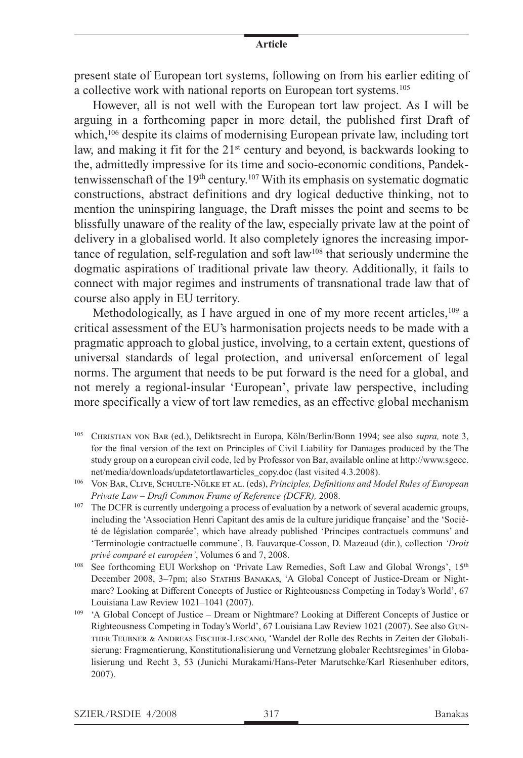present state of European tort systems, following on from his earlier editing of a collective work with national reports on European tort systems.105

However, all is not well with the European tort law project. As I will be arguing in a forthcoming paper in more detail, the published first Draft of which,<sup>106</sup> despite its claims of modernising European private law, including tort law, and making it fit for the 21<sup>st</sup> century and beyond, is backwards looking to the, admittedly impressive for its time and socio-economic conditions, Pandektenwissenschaft of the  $19<sup>th</sup>$  century.<sup>107</sup> With its emphasis on systematic dogmatic constructions, abstract definitions and dry logical deductive thinking, not to mention the uninspiring language, the Draft misses the point and seems to be blissfully unaware of the reality of the law, especially private law at the point of delivery in a globalised world. It also completely ignores the increasing importance of regulation, self-regulation and soft law<sup>108</sup> that seriously undermine the dogmatic aspirations of traditional private law theory. Additionally, it fails to connect with major regimes and instruments of transnational trade law that of course also apply in EU territory.

Methodologically, as I have argued in one of my more recent articles,  $109$  a critical assessment of the EU's harmonisation projects needs to be made with a pragmatic approach to global justice, involving, to a certain extent, questions of universal standards of legal protection, and universal enforcement of legal norms. The argument that needs to be put forward is the need for a global, and not merely a regional-insular 'European', private law perspective, including more specifically a view of tort law remedies, as an effective global mechanism

- <sup>105</sup> Christian von Bar (ed.), Deliktsrecht in Europa, Köln/Berlin/Bonn 1994; see also *supra,* note 3, for the final version of the text on Principles of Civil Liability for Damages produced by the The study group on a european civil code, led by Professor von Bar, available online at http://www.sgecc. net/media/downloads/updatetortlawarticles\_copy.doc (last visited 4.3.2008).
- <sup>106</sup> Von Bar, Clive, Schulte-Nölke et al. (eds), *Principles, Definitions and Model Rules of European Private Law – Draft Common Frame of Reference (DCFR),* 2008.
- <sup>107</sup> The DCFR is currently undergoing a process of evaluation by a network of several academic groups, including the 'Association Henri Capitant des amis de la culture juridique française' and the 'Société de législation comparée', which have already published 'Principes contractuels communs' and 'Terminologie contractuelle commune', B. Fauvarque-Cosson, D. Mazeaud (dir.), collection *'Droit privé comparé et européen'*, Volumes 6 and 7, 2008.
- <sup>108</sup> See forthcoming EUI Workshop on 'Private Law Remedies, Soft Law and Global Wrongs', 15<sup>th</sup> December 2008, 3–7pm; also Stathis Banakas, 'A Global Concept of Justice-Dream or Nightmare? Looking at Different Concepts of Justice or Righteousness Competing in Today's World', 67 Louisiana Law Review 1021–1041 (2007).
- <sup>109</sup> 'A Global Concept of Justice Dream or Nightmare? Looking at Different Concepts of Justice or Righteousness Competing in Today's World', 67 Louisiana Law Review 1021 (2007). See also Gunther Teubner & Andreas Fischer-Lescano, 'Wandel der Rolle des Rechts in Zeiten der Globalisierung: Fragmentierung, Konstitutionalisierung und Vernetzung globaler Rechtsregimes' in Globalisierung und Recht 3, 53 (Junichi Murakami/Hans-Peter Marutschke/Karl Riesenhuber editors, 2007).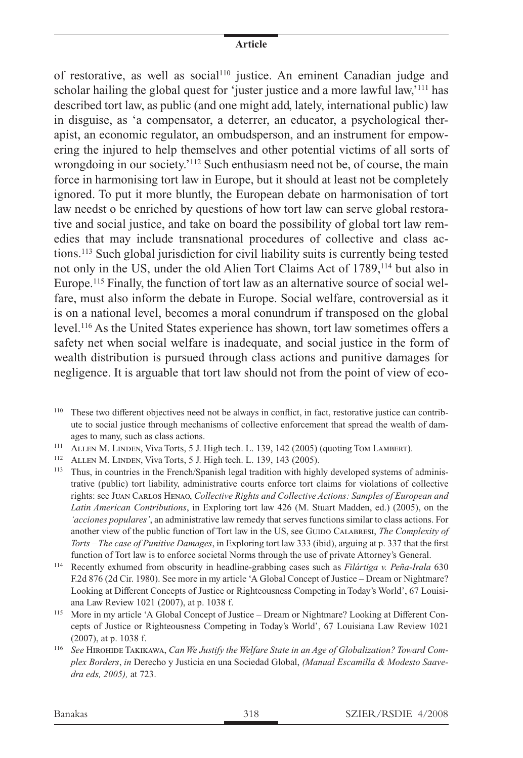of restorative, as well as social<sup>110</sup> justice. An eminent Canadian judge and scholar hailing the global quest for 'juster justice and a more lawful law,'<sup>111</sup> has described tort law, as public (and one might add, lately, international public) law in disguise, as 'a compensator, a deterrer, an educator, a psychological therapist, an economic regulator, an ombudsperson, and an instrument for empowering the injured to help themselves and other potential victims of all sorts of wrongdoing in our society.<sup>'112</sup> Such enthusiasm need not be, of course, the main force in harmonising tort law in Europe, but it should at least not be completely ignored. To put it more bluntly, the European debate on harmonisation of tort law needst o be enriched by questions of how tort law can serve global restorative and social justice, and take on board the possibility of global tort law remedies that may include transnational procedures of collective and class actions.113 Such global jurisdiction for civil liability suits is currently being tested not only in the US, under the old Alien Tort Claims Act of 1789,114 but also in Europe.<sup>115</sup> Finally, the function of tort law as an alternative source of social welfare, must also inform the debate in Europe. Social welfare, controversial as it is on a national level, becomes a moral conundrum if transposed on the global level.116 As the United States experience has shown, tort law sometimes offers a safety net when social welfare is inadequate, and social justice in the form of wealth distribution is pursued through class actions and punitive damages for negligence. It is arguable that tort law should not from the point of view of eco-

- <sup>111</sup> ALLEN M. LINDEN, Viva Torts, 5 J. High tech. L. 139, 142 (2005) (quoting TOM LAMBERT).
- <sup>112</sup> Allen M. Linden, Viva Torts, 5 J. High tech. L. 139, 143 (2005).

<sup>113</sup> Thus, in countries in the French/Spanish legal tradition with highly developed systems of administrative (public) tort liability, administrative courts enforce tort claims for violations of collective rights: see Juan Carlos Henao, *Collective Rights and Collective Actions: Samples of European and Latin American Contributions*, in Exploring tort law 426 (M. Stuart Madden, ed.) (2005), on the *'acciones populares'*, an administrative law remedy that serves functions similar to class actions. For another view of the public function of Tort law in the US, see GUIDO CALABRESI, *The Complexity of Torts – The case of Punitive Damages*, in Exploring tort law 333 (ibid), arguing at p. 337 that the first function of Tort law is to enforce societal Norms through the use of private Attorney's General.

- <sup>114</sup> Recently exhumed from obscurity in headline-grabbing cases such as *Filártiga v. Peña-Irala* 630 F.2d 876 (2d Cir. 1980). See more in my article 'A Global Concept of Justice – Dream or Nightmare? Looking at Different Concepts of Justice or Righteousness Competing in Today's World', 67 Louisiana Law Review 1021 (2007), at p. 1038 f.
- <sup>115</sup> More in my article 'A Global Concept of Justice Dream or Nightmare? Looking at Different Concepts of Justice or Righteousness Competing in Today's World', 67 Louisiana Law Review 1021 (2007), at p. 1038 f.
- <sup>116</sup> *See* Hirohide Takikawa, *Can We Justify the Welfare State in an Age of Globalization? Toward Complex Borders*, *in* Derecho y Justicia en una Sociedad Global, *(Manual Escamilla & Modesto Saavedra eds, 2005),* at 723.

<sup>110</sup> These two different objectives need not be always in conflict, in fact, restorative justice can contribute to social justice through mechanisms of collective enforcement that spread the wealth of damages to many, such as class actions.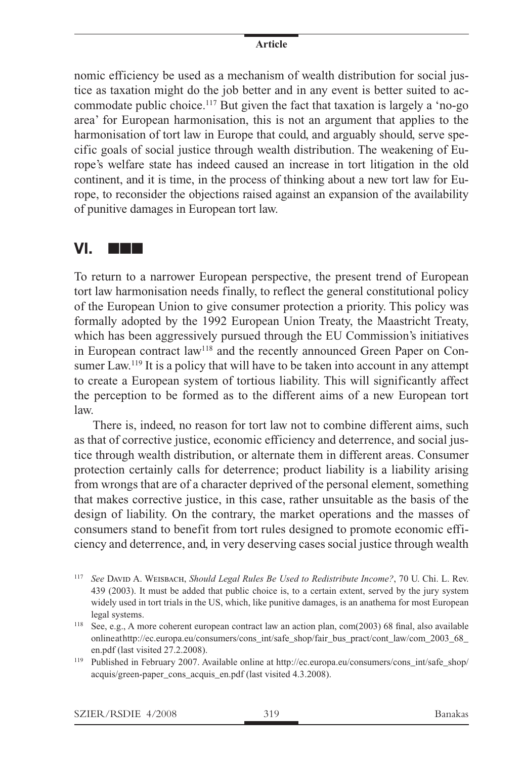nomic efficiency be used as a mechanism of wealth distribution for social justice as taxation might do the job better and in any event is better suited to accommodate public choice.117 But given the fact that taxation is largely a 'no-go area' for European harmonisation, this is not an argument that applies to the harmonisation of tort law in Europe that could, and arguably should, serve specific goals of social justice through wealth distribution. The weakening of Europe's welfare state has indeed caused an increase in tort litigation in the old continent, and it is time, in the process of thinking about a new tort law for Europe, to reconsider the objections raised against an expansion of the availability of punitive damages in European tort law.

### **VI.** nnn

To return to a narrower European perspective, the present trend of European tort law harmonisation needs finally, to reflect the general constitutional policy of the European Union to give consumer protection a priority. This policy was formally adopted by the 1992 European Union Treaty, the Maastricht Treaty, which has been aggressively pursued through the EU Commission's initiatives in European contract law<sup>118</sup> and the recently announced Green Paper on Consumer Law.<sup>119</sup> It is a policy that will have to be taken into account in any attempt to create a European system of tortious liability. This will significantly affect the perception to be formed as to the different aims of a new European tort law.

There is, indeed, no reason for tort law not to combine different aims, such as that of corrective justice, economic efficiency and deterrence, and social justice through wealth distribution, or alternate them in different areas. Consumer protection certainly calls for deterrence; product liability is a liability arising from wrongs that are of a character deprived of the personal element, something that makes corrective justice, in this case, rather unsuitable as the basis of the design of liability. On the contrary, the market operations and the masses of consumers stand to benefit from tort rules designed to promote economic efficiency and deterrence, and, in very deserving cases social justice through wealth

<sup>117</sup> *See* David A. Weisbach, *Should Legal Rules Be Used to Redistribute Income?*, 70 U. Chi. L. Rev. 439 (2003). It must be added that public choice is, to a certain extent, served by the jury system widely used in tort trials in the US, which, like punitive damages, is an anathema for most European legal systems.

<sup>118</sup> See, e.g., A more coherent european contract law an action plan, com(2003) 68 final, also available online at http://ec.europa.eu/consumers/cons\_int/safe\_shop/fair\_bus\_pract/cont\_law/com\_2003\_68 en.pdf (last visited 27.2.2008).

<sup>119</sup> Published in February 2007. Available online at http://ec.europa.eu/consumers/cons\_int/safe\_shop/ acquis/green-paper\_cons\_acquis\_en.pdf (last visited 4.3.2008).